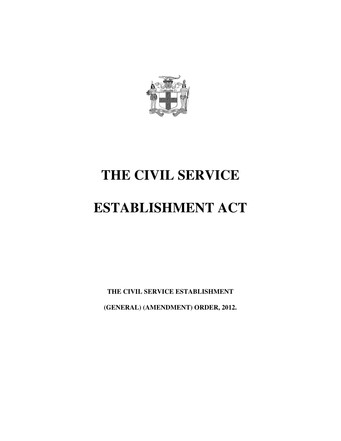

# **THE CIVIL SERVICE**

# **ESTABLISHMENT ACT**

**THE CIVIL SERVICE ESTABLISHMENT (GENERAL) (AMENDMENT) ORDER, 2012.**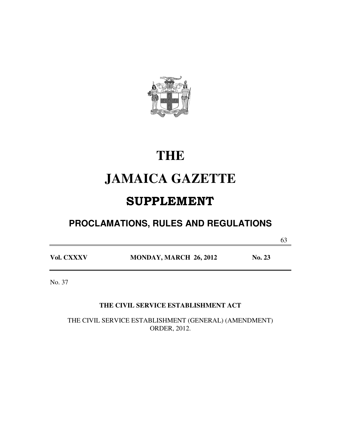

# **THE**

# **JAMAICA GAZETTE**

# SUPPLEMENT

# **PROCLAMATIONS, RULES AND REGULATIONS**

63

**Vol. CXXXV MONDAY, MARCH 26, 2012 No. 23** 

No. 37

### **THE CIVIL SERVICE ESTABLISHMENT ACT**

THE CIVIL SERVICE ESTABLISHMENT (GENERAL) (AMENDMENT) ORDER, 2012.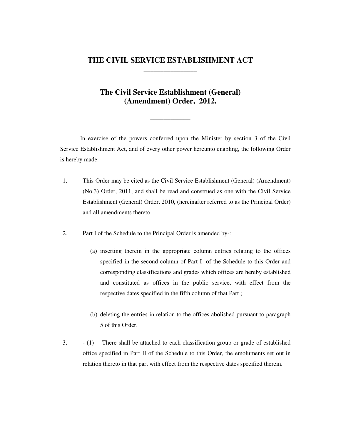### **THE CIVIL SERVICE ESTABLISHMENT ACT \_\_\_\_\_\_\_\_\_\_\_\_\_\_\_\_**

### **The Civil Service Establishment (General) (Amendment) Order, 2012.**

**\_\_\_\_\_\_\_\_\_\_\_\_** 

In exercise of the powers conferred upon the Minister by section 3 of the Civil Service Establishment Act, and of every other power hereunto enabling, the following Order is hereby made:-

- 1. This Order may be cited as the Civil Service Establishment (General) (Amendment) (No.3) Order, 2011, and shall be read and construed as one with the Civil Service Establishment (General) Order, 2010, (hereinafter referred to as the Principal Order) and all amendments thereto.
- 2. Part I of the Schedule to the Principal Order is amended by-:
	- (a) inserting therein in the appropriate column entries relating to the offices specified in the second column of Part I of the Schedule to this Order and corresponding classifications and grades which offices are hereby established and constituted as offices in the public service, with effect from the respective dates specified in the fifth column of that Part ;
	- (b) deleting the entries in relation to the offices abolished pursuant to paragraph 5 of this Order.
- 3. (1) There shall be attached to each classification group or grade of established office specified in Part II of the Schedule to this Order, the emoluments set out in relation thereto in that part with effect from the respective dates specified therein.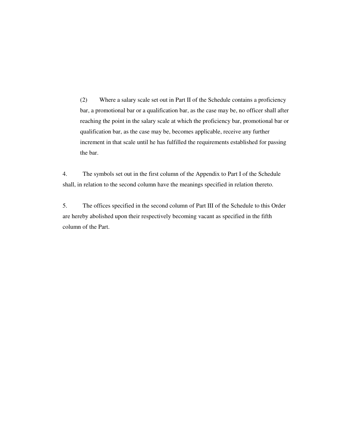(2) Where a salary scale set out in Part II of the Schedule contains a proficiency bar, a promotional bar or a qualification bar, as the case may be, no officer shall after reaching the point in the salary scale at which the proficiency bar, promotional bar or qualification bar, as the case may be, becomes applicable, receive any further increment in that scale until he has fulfilled the requirements established for passing the bar.

4. The symbols set out in the first column of the Appendix to Part I of the Schedule shall, in relation to the second column have the meanings specified in relation thereto.

5. The offices specified in the second column of Part III of the Schedule to this Order are hereby abolished upon their respectively becoming vacant as specified in the fifth column of the Part.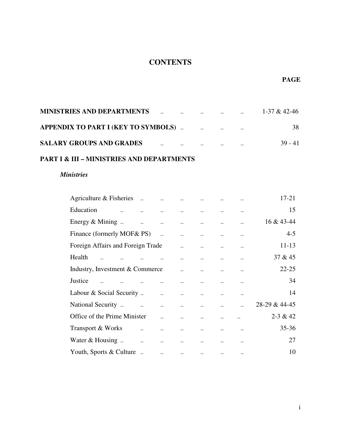### **CONTENTS**

| <b>MINISTRIES AND DEPARTMENTS</b>          | $\cdot$ . | <u>and the contract of the contract of the contract of the contract of the contract of the contract of the contract of the contract of the contract of the contract of the contract of the contract of the contract of the contr</u> |  | 1-37 & 42-46 |
|--------------------------------------------|-----------|--------------------------------------------------------------------------------------------------------------------------------------------------------------------------------------------------------------------------------------|--|--------------|
| <b>APPENDIX TO PART I (KEY TO SYMBOLS)</b> |           |                                                                                                                                                                                                                                      |  | 38           |
| <b>SALARY GROUPS AND GRADES</b>            | $\cdot$ . | $\cdot$ .                                                                                                                                                                                                                            |  | 39 - 41      |

### **PART I & III – MINISTRIES AND DEPARTMENTS**

### *Ministries*

| Agriculture & Fisheries           | $\dddotsc$           | $\ddotsc$             |           |           |           | $\ddotsc$ | 17-21         |
|-----------------------------------|----------------------|-----------------------|-----------|-----------|-----------|-----------|---------------|
| Education                         |                      |                       |           |           |           |           | 15            |
| Energy $&$ Mining                 | $\ddots$             | $\ddotsc$             | $\ddotsc$ | $\ddotsc$ |           | $\ddotsc$ | 16 & 43-44    |
| Finance (formerly MOF& PS)        |                      |                       |           |           |           |           | $4 - 5$       |
| Foreign Affairs and Foreign Trade |                      |                       |           | $\ddotsc$ |           | $\ddotsc$ | $11 - 13$     |
| Health                            |                      |                       |           |           |           |           | 37 & 45       |
| Industry, Investment & Commerce   |                      |                       |           | $\ddotsc$ |           |           | $22 - 25$     |
| Justice                           |                      | $\dddot{\phantom{0}}$ |           |           |           |           | 34            |
| Labour & Social Security          |                      | $\dddot{\phantom{0}}$ | $\ddotsc$ | $\ddotsc$ | $\ddotsc$ | $\cdot$ . | 14            |
| National Security                 |                      |                       |           | $\ddots$  | $\ddotsc$ | $\ddotsc$ | 28-29 & 44-45 |
| Office of the Prime Minister      |                      |                       |           | $\ddotsc$ | $\ddotsc$ |           | $2 - 3 & 42$  |
| Transport & Works                 | $\ddot{\phantom{a}}$ | $\ddotsc$             | $\ldots$  | $\ddotsc$ | $\ddots$  | $\ddotsc$ | $35 - 36$     |
| Water $&$ Housing                 | $\ddot{\phantom{a}}$ | $\ddotsc$             |           | $\ddotsc$ |           | $\cdot$ . | 27            |
| Youth, Sports & Culture           |                      | $\ddotsc$             | $\ddotsc$ | $\ldots$  | $\ddotsc$ | $\cdot$ . | 10            |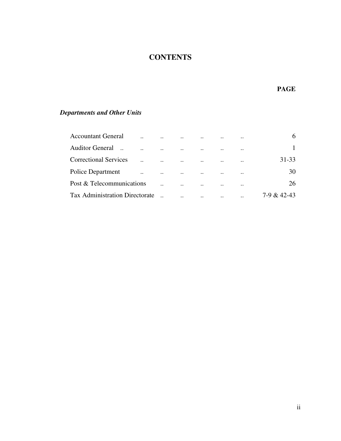# **CONTENTS**

#### **PAGE**

# *Departments and Other Units*

| <b>Accountant General</b>             |                           | $\ddot{\phantom{a}}$ | $\cdot$ .            | $\ddotsc$                 |           | $\ddot{\phantom{0}}$ |             |
|---------------------------------------|---------------------------|----------------------|----------------------|---------------------------|-----------|----------------------|-------------|
| <b>Auditor General</b>                | $\cdot$ .                 | $\cdot$ .            | $\cdot \cdot$        | $\ddotsc$                 | $\ddotsc$ | $\bullet\,\bullet$   |             |
| <b>Correctional Services</b>          |                           | $\ddotsc$            | $\cdot \cdot$        | $\ddotsc$                 |           | $\ddot{\phantom{0}}$ | 31-33       |
| <b>Police Department</b>              | $\ddot{\phantom{0}}\cdot$ | $\ddotsc$            | $\ddotsc$            | $\ddots$                  |           | $\ddotsc$            | 30          |
| Post & Telecommunications             |                           |                      | $\cdot$              | $\ddotsc$                 | $\cdot$ . | $\bullet\,\bullet$   | 26          |
| <b>Tax Administration Directorate</b> |                           |                      | $\ddot{\phantom{0}}$ | $\ddot{\phantom{0}}\cdot$ | $\cdot$ . | $\cdot$ .            | 7-9 & 42-43 |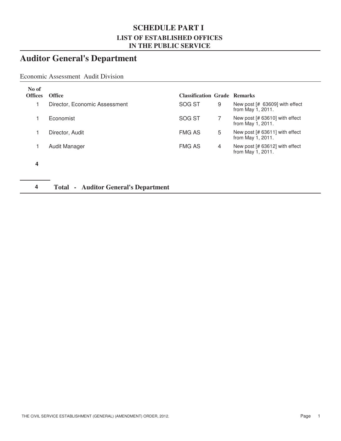### **SCHEDULE PART I LIST OF ESTABLISHED OFFICES IN THE PUBLIC SERVICE**

# **Auditor General's Department**

### Economic Assessment Audit Division

| No of<br><b>Offices</b> | <b>Office</b>                 | <b>Classification Grade Remarks</b> |   |                                                       |
|-------------------------|-------------------------------|-------------------------------------|---|-------------------------------------------------------|
|                         | Director, Economic Assessment | SOG ST                              | 9 | New post $[# 63609]$ with effect<br>from May 1, 2011. |
|                         | Economist                     | SOG ST                              |   | New post [# 63610] with effect<br>from May 1, 2011.   |
|                         | Director, Audit               | <b>FMG AS</b>                       | 5 | New post [# 63611] with effect<br>from May 1, 2011.   |
|                         | Audit Manager                 | <b>FMG AS</b>                       | 4 | New post [# 63612] with effect<br>from May 1, 2011.   |
|                         |                               |                                     |   |                                                       |

### **4 Total - Auditor General's Department**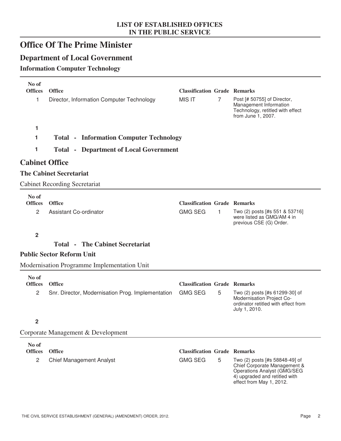# **Office Of The Prime Minister**

### **Department of Local Government**

### **Information Computer Technology**

| No of<br><b>Offices</b>                   | <b>Office</b>                                     | <b>Classification Grade Remarks</b>                   |   |                                                                                                                                                                   |
|-------------------------------------------|---------------------------------------------------|-------------------------------------------------------|---|-------------------------------------------------------------------------------------------------------------------------------------------------------------------|
| 1                                         | Director, Information Computer Technology         | <b>MIS IT</b>                                         | 7 | Post [# 50755] of Director,<br>Management Information<br>Technology, retitled with effect<br>from June 1, 2007.                                                   |
| 1                                         |                                                   |                                                       |   |                                                                                                                                                                   |
| 1                                         | <b>Total - Information Computer Technology</b>    |                                                       |   |                                                                                                                                                                   |
| 1                                         | <b>Total - Department of Local Government</b>     |                                                       |   |                                                                                                                                                                   |
| <b>Cabinet Office</b>                     |                                                   |                                                       |   |                                                                                                                                                                   |
|                                           | <b>The Cabinet Secretariat</b>                    |                                                       |   |                                                                                                                                                                   |
|                                           | <b>Cabinet Recording Secretariat</b>              |                                                       |   |                                                                                                                                                                   |
| No of<br><b>Offices</b><br>$\overline{2}$ | <b>Office</b><br>Assistant Co-ordinator           | <b>Classification Grade Remarks</b><br><b>GMG SEG</b> | 1 | Two (2) posts [#s 551 & 53716]<br>were listed as GMG/AM 4 in<br>previous CSE (G) Order.                                                                           |
| $\overline{2}$                            |                                                   |                                                       |   |                                                                                                                                                                   |
|                                           | <b>The Cabinet Secretariat</b><br>Total -         |                                                       |   |                                                                                                                                                                   |
|                                           | <b>Public Sector Reform Unit</b>                  |                                                       |   |                                                                                                                                                                   |
|                                           | Modernisation Programme Implementation Unit       |                                                       |   |                                                                                                                                                                   |
| No of<br><b>Offices</b>                   | <b>Office</b>                                     | <b>Classification Grade Remarks</b>                   |   |                                                                                                                                                                   |
| $\overline{2}$                            | Snr. Director, Modernisation Prog. Implementation | <b>GMG SEG</b>                                        | 5 | Two (2) posts [#s 61299-30] of<br>Modernisation Project Co-<br>ordinator retitled with effect from<br>July 1, 2010.                                               |
| 2                                         |                                                   |                                                       |   |                                                                                                                                                                   |
|                                           | Corporate Management & Development                |                                                       |   |                                                                                                                                                                   |
| No of<br><b>Offices</b><br>$\overline{c}$ | <b>Office</b><br><b>Chief Management Analyst</b>  | <b>Classification Grade Remarks</b><br><b>GMG SEG</b> | 5 | Two (2) posts [#s 58848-49] of<br>Chief Corporate Management &<br><b>Operations Analyst (GMG/SEG</b><br>4) upgraded and retitled with<br>effect from May 1, 2012. |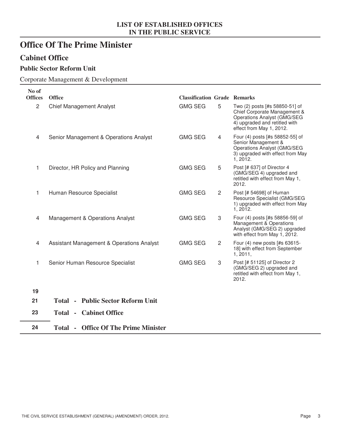# **Office Of The Prime Minister**

### **Cabinet Office**

### **Public Sector Reform Unit**

### Corporate Management & Development

| No of<br><b>Offices</b> | <b>Office</b>                                        | <b>Classification Grade Remarks</b> |   |                                                                                                                                                                   |
|-------------------------|------------------------------------------------------|-------------------------------------|---|-------------------------------------------------------------------------------------------------------------------------------------------------------------------|
| $\overline{2}$          | <b>Chief Management Analyst</b>                      | <b>GMG SEG</b>                      | 5 | Two (2) posts [#s 58850-51] of<br>Chief Corporate Management &<br><b>Operations Analyst (GMG/SEG</b><br>4) upgraded and retitled with<br>effect from May 1, 2012. |
| 4                       | Senior Management & Operations Analyst               | <b>GMG SEG</b>                      | 4 | Four (4) posts [#s 58852-55] of<br>Senior Management &<br>Operations Analyst (GMG/SEG<br>3) upgraded with effect from May<br>1, 2012.                             |
| 1                       | Director, HR Policy and Planning                     | <b>GMG SEG</b>                      | 5 | Post [# 637] of Director 4<br>(GMG/SEG 4) upgraded and<br>retitled with effect from May 1,<br>2012.                                                               |
| 1                       | Human Resource Specialist                            | <b>GMG SEG</b>                      | 2 | Post [# 54698] of Human<br>Resource Specialist (GMG/SEG<br>1) upgraded with effect from May<br>1, 2012.                                                           |
| 4                       | Management & Operations Analyst                      | <b>GMG SEG</b>                      | 3 | Four (4) posts [#s 58856-59] of<br>Management & Operations<br>Analyst (GMG/SEG 2) upgraded<br>with effect from May 1, 2012.                                       |
| 4                       | <b>Assistant Management &amp; Operations Analyst</b> | <b>GMG SEG</b>                      | 2 | Four (4) new posts [#s 63615-<br>18] with effect from September<br>1, 2011,                                                                                       |
| 1                       | Senior Human Resource Specialist                     | <b>GMG SEG</b>                      | 3 | Post [# 51125] of Director 2<br>(GMG/SEG 2) upgraded and<br>retitled with effect from May 1,<br>2012.                                                             |
| 19                      |                                                      |                                     |   |                                                                                                                                                                   |
| 21                      | <b>Total - Public Sector Reform Unit</b>             |                                     |   |                                                                                                                                                                   |
| 23                      | <b>Total - Cabinet Office</b>                        |                                     |   |                                                                                                                                                                   |
| 24                      | <b>Total - Office Of The Prime Minister</b>          |                                     |   |                                                                                                                                                                   |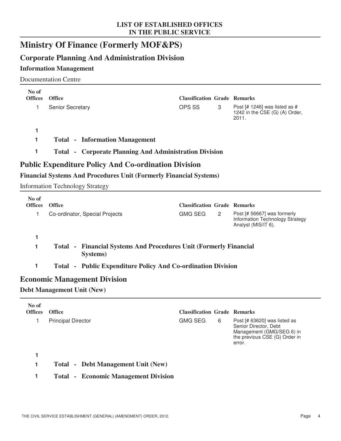# **Ministry Of Finance (Formerly MOF&PS)**

### **Corporate Planning And Administration Division**

### **Information Management**

Documentation Centre

| No of<br><b>Offices</b> | <b>Office</b>                                                            | <b>Classification Grade Remarks</b>                                       |   |                                                                                                                               |
|-------------------------|--------------------------------------------------------------------------|---------------------------------------------------------------------------|---|-------------------------------------------------------------------------------------------------------------------------------|
| 1                       | Senior Secretary                                                         | OPS SS                                                                    | 3 | Post $[# 1246]$ was listed as #<br>1242 in the CSE (G) (A) Order,<br>2011.                                                    |
| 1                       |                                                                          |                                                                           |   |                                                                                                                               |
| 1                       | <b>Total - Information Management</b>                                    |                                                                           |   |                                                                                                                               |
| 1                       |                                                                          | <b>Total - Corporate Planning And Administration Division</b>             |   |                                                                                                                               |
|                         | <b>Public Expenditure Policy And Co-ordination Division</b>              |                                                                           |   |                                                                                                                               |
|                         |                                                                          | <b>Financial Systems And Procedures Unit (Formerly Financial Systems)</b> |   |                                                                                                                               |
|                         | <b>Information Technology Strategy</b>                                   |                                                                           |   |                                                                                                                               |
| No of                   |                                                                          |                                                                           |   |                                                                                                                               |
| <b>Offices</b>          | Office                                                                   | <b>Classification Grade Remarks</b>                                       |   |                                                                                                                               |
| 1                       | Co-ordinator, Special Projects                                           | <b>GMG SEG</b>                                                            | 2 | Post [# 56667] was formerly<br>Information Technology Strategy<br>Analyst (MIS/IT 6).                                         |
| 1                       |                                                                          |                                                                           |   |                                                                                                                               |
| 1                       | Total -<br>Systems)                                                      | <b>Financial Systems And Procedures Unit (Formerly Financial</b>          |   |                                                                                                                               |
| 1                       |                                                                          | Total - Public Expenditure Policy And Co-ordination Division              |   |                                                                                                                               |
|                         | <b>Economic Management Division</b><br><b>Debt Management Unit (New)</b> |                                                                           |   |                                                                                                                               |
|                         |                                                                          |                                                                           |   |                                                                                                                               |
| No of<br><b>Offices</b> | <b>Office</b>                                                            | <b>Classification Grade Remarks</b>                                       |   |                                                                                                                               |
| 1<br>1                  | <b>Principal Director</b>                                                | <b>GMG SEG</b>                                                            | 6 | Post [# 63620] was listed as<br>Senior Director, Debt<br>Management (GMG/SEG 6) in<br>the previous CSE (G) Order in<br>error. |
|                         |                                                                          |                                                                           |   |                                                                                                                               |

**1 Total - Debt Management Unit (New)**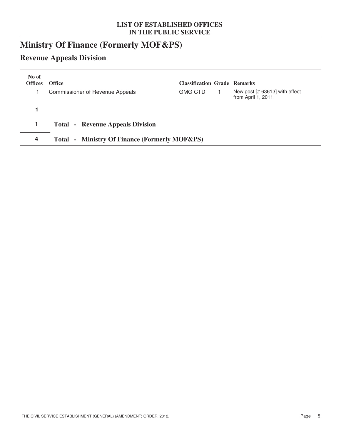# **Ministry Of Finance (Formerly MOF&PS)**

# **Revenue Appeals Division**

| No of<br><b>Offices</b> | <b>Office</b>                                           | <b>Classification Grade Remarks</b> |                                                       |
|-------------------------|---------------------------------------------------------|-------------------------------------|-------------------------------------------------------|
|                         | Commissioner of Revenue Appeals                         | <b>GMG CTD</b>                      | New post [# 63613] with effect<br>from April 1, 2011. |
|                         |                                                         |                                     |                                                       |
|                         | <b>Total - Revenue Appeals Division</b>                 |                                     |                                                       |
| 4                       | - Ministry Of Finance (Formerly MOF&PS)<br><b>Total</b> |                                     |                                                       |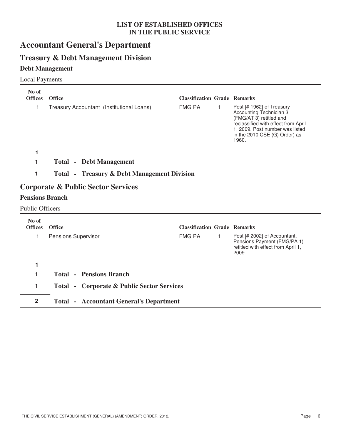# **Accountant General's Department**

### **Treasury & Debt Management Division**

### **Debt Management**

Local Payments

| No of<br><b>Offices</b> | <b>Office</b>                                          | <b>Classification Grade Remarks</b> |   |                                                                                                                                                                                                     |
|-------------------------|--------------------------------------------------------|-------------------------------------|---|-----------------------------------------------------------------------------------------------------------------------------------------------------------------------------------------------------|
| 1                       | Treasury Accountant (Institutional Loans)              | <b>FMG PA</b>                       | 1 | Post [# 1962] of Treasury<br>Accounting Technician 3<br>(FMG/AT 3) retitled and<br>reclassified with effect from April<br>1, 2009. Post number was listed<br>in the 2010 CSE (G) Order) as<br>1960. |
| 1                       |                                                        |                                     |   |                                                                                                                                                                                                     |
| 1                       | <b>Total - Debt Management</b>                         |                                     |   |                                                                                                                                                                                                     |
| 1                       | <b>Total - Treasury &amp; Debt Management Division</b> |                                     |   |                                                                                                                                                                                                     |
|                         | <b>Corporate &amp; Public Sector Services</b>          |                                     |   |                                                                                                                                                                                                     |
| <b>Pensions Branch</b>  |                                                        |                                     |   |                                                                                                                                                                                                     |
| <b>Public Officers</b>  |                                                        |                                     |   |                                                                                                                                                                                                     |
| No of<br><b>Offices</b> | Office                                                 | <b>Classification Grade Remarks</b> |   |                                                                                                                                                                                                     |
| 1                       | Pensions Supervisor                                    | <b>FMG PA</b>                       | 1 | Post [# 2002] of Accountant,<br>Pensions Payment (FMG/PA 1)<br>retitled with effect from April 1,<br>2009.                                                                                          |
| 1                       |                                                        |                                     |   |                                                                                                                                                                                                     |
| 1                       | <b>Total - Pensions Branch</b>                         |                                     |   |                                                                                                                                                                                                     |
| 1                       | <b>Total - Corporate &amp; Public Sector Services</b>  |                                     |   |                                                                                                                                                                                                     |
| $\overline{2}$          | <b>Total - Accountant General's Department</b>         |                                     |   |                                                                                                                                                                                                     |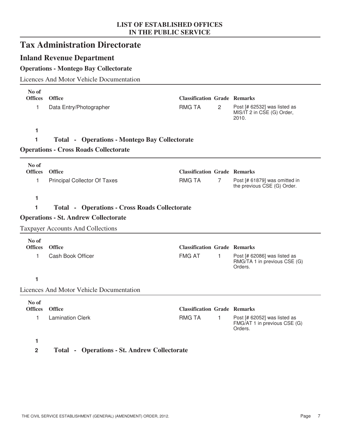|                | <b>Tax Administration Directorate</b>                |                                     |                |                                                                         |
|----------------|------------------------------------------------------|-------------------------------------|----------------|-------------------------------------------------------------------------|
|                | <b>Inland Revenue Department</b>                     |                                     |                |                                                                         |
|                | <b>Operations - Montego Bay Collectorate</b>         |                                     |                |                                                                         |
|                | <b>Licences And Motor Vehicle Documentation</b>      |                                     |                |                                                                         |
| No of          |                                                      |                                     |                |                                                                         |
| <b>Offices</b> | <b>Office</b>                                        | <b>Classification Grade Remarks</b> |                |                                                                         |
| 1              | Data Entry/Photographer                              | <b>RMG TA</b>                       | 2              | Post [# 62532] was listed as<br>MIS/IT 2 in CSE (G) Order,<br>2010.     |
| 1              |                                                      |                                     |                |                                                                         |
| 1              | <b>Total - Operations - Montego Bay Collectorate</b> |                                     |                |                                                                         |
|                | <b>Operations - Cross Roads Collectorate</b>         |                                     |                |                                                                         |
| No of          |                                                      |                                     |                |                                                                         |
| <b>Offices</b> | <b>Office</b>                                        | <b>Classification Grade Remarks</b> |                |                                                                         |
| 1              | <b>Principal Collector Of Taxes</b>                  | <b>RMG TA</b>                       | $\overline{7}$ | Post [# 61879] was omitted in<br>the previous CSE (G) Order.            |
| 1              |                                                      |                                     |                |                                                                         |
| 1              | <b>Total - Operations - Cross Roads Collectorate</b> |                                     |                |                                                                         |
|                | <b>Operations - St. Andrew Collectorate</b>          |                                     |                |                                                                         |
|                | <b>Taxpayer Accounts And Collections</b>             |                                     |                |                                                                         |
| No of          |                                                      |                                     |                |                                                                         |
| <b>Offices</b> | <b>Office</b>                                        | <b>Classification Grade Remarks</b> |                |                                                                         |
| 1              | Cash Book Officer                                    | <b>FMG AT</b>                       | 1              | Post [# 62086] was listed as<br>RMG/TA 1 in previous CSE (G)<br>Orders. |
| 1              |                                                      |                                     |                |                                                                         |
|                | <b>Licences And Motor Vehicle Documentation</b>      |                                     |                |                                                                         |
| No of          |                                                      |                                     |                |                                                                         |
| <b>Offices</b> | <b>Office</b>                                        | <b>Classification Grade Remarks</b> |                |                                                                         |
| 1              | <b>Lamination Clerk</b>                              | <b>RMG TA</b>                       | 1              | Post [# 62052] was listed as<br>FMG/AT 1 in previous CSE (G)<br>Orders. |
|                |                                                      |                                     |                |                                                                         |

**2 Total - Operations - St. Andrew Collectorate**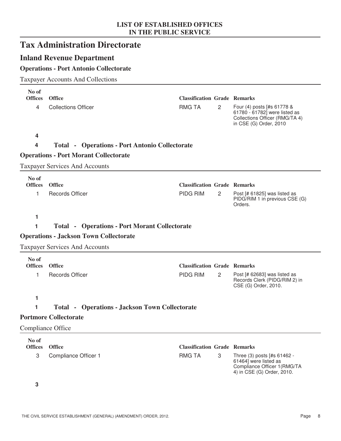|                              | <b>Tax Administration Directorate</b>                 |                                                      |                |                                                                                           |
|------------------------------|-------------------------------------------------------|------------------------------------------------------|----------------|-------------------------------------------------------------------------------------------|
|                              | <b>Inland Revenue Department</b>                      |                                                      |                |                                                                                           |
|                              | <b>Operations - Port Antonio Collectorate</b>         |                                                      |                |                                                                                           |
|                              | <b>Taxpayer Accounts And Collections</b>              |                                                      |                |                                                                                           |
| No of<br><b>Offices</b><br>4 | <b>Office</b><br><b>Collections Officer</b>           | <b>Classification Grade Remarks</b><br><b>RMG TA</b> | $\overline{2}$ | Four (4) posts [#s 61778 &                                                                |
|                              |                                                       |                                                      |                | 61780 - 61782] were listed as<br>Collections Officer (RMG/TA 4)<br>in CSE (G) Order, 2010 |
| 4                            |                                                       |                                                      |                |                                                                                           |
| 4                            | <b>Total - Operations - Port Antonio Collectorate</b> |                                                      |                |                                                                                           |
|                              | <b>Operations - Port Morant Collectorate</b>          |                                                      |                |                                                                                           |
|                              | <b>Taxpayer Services And Accounts</b>                 |                                                      |                |                                                                                           |
| No of<br><b>Offices</b>      | <b>Office</b>                                         | <b>Classification Grade Remarks</b>                  |                |                                                                                           |
| 1                            | <b>Records Officer</b>                                | PIDG RIM                                             | $\overline{2}$ | Post [# 61825] was listed as<br>PIDG/RIM 1 in previous CSE (G)<br>Orders.                 |
| 1                            |                                                       |                                                      |                |                                                                                           |
| 1                            | <b>Total - Operations - Port Morant Collectorate</b>  |                                                      |                |                                                                                           |
|                              | <b>Operations - Jackson Town Collectorate</b>         |                                                      |                |                                                                                           |
|                              | <b>Taxpayer Services And Accounts</b>                 |                                                      |                |                                                                                           |
| No of                        |                                                       |                                                      |                |                                                                                           |
| <b>Offices</b>               | <b>Office</b>                                         | <b>Classification Grade Remarks</b>                  |                |                                                                                           |
| 1                            | <b>Records Officer</b>                                | <b>PIDG RIM</b>                                      | 2              | Post [# 62683] was listed as<br>Records Clerk (PIDG/RIM 2) in<br>CSE (G) Order, 2010.     |
| 1                            |                                                       |                                                      |                |                                                                                           |
| 1                            | <b>Total - Operations - Jackson Town Collectorate</b> |                                                      |                |                                                                                           |
|                              | <b>Portmore Collectorate</b>                          |                                                      |                |                                                                                           |
|                              | Compliance Office                                     |                                                      |                |                                                                                           |
| No of                        |                                                       |                                                      |                |                                                                                           |
| <b>Offices</b><br>3          | <b>Office</b>                                         | <b>Classification Grade Remarks</b><br><b>RMG TA</b> | 3              | Three (3) posts [#s 61462 -                                                               |
|                              | Compliance Officer 1                                  |                                                      |                | 61464] were listed as<br>Compliance Officer 1(RMG/TA<br>4) in CSE (G) Order, 2010.        |
| 3                            |                                                       |                                                      |                |                                                                                           |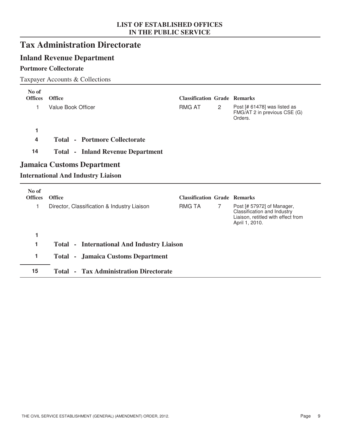# **Tax Administration Directorate**

### **Inland Revenue Department**

### **Portmore Collectorate**

### Taxpayer Accounts & Collections

| No of<br><b>Offices</b> | <b>Office</b>                                                                  | <b>Classification Grade Remarks</b>                  |                |                                                                                                                   |
|-------------------------|--------------------------------------------------------------------------------|------------------------------------------------------|----------------|-------------------------------------------------------------------------------------------------------------------|
| 1                       | Value Book Officer                                                             | <b>RMG AT</b>                                        | $\overline{2}$ | Post [# 61478] was listed as<br>FMG/AT 2 in previous CSE (G)<br>Orders.                                           |
| 1                       |                                                                                |                                                      |                |                                                                                                                   |
| 4                       | <b>Total - Portmore Collectorate</b>                                           |                                                      |                |                                                                                                                   |
| 14                      | <b>Total - Inland Revenue Department</b>                                       |                                                      |                |                                                                                                                   |
|                         | <b>Jamaica Customs Department</b><br><b>International And Industry Liaison</b> |                                                      |                |                                                                                                                   |
|                         |                                                                                |                                                      |                |                                                                                                                   |
| No of                   |                                                                                |                                                      |                |                                                                                                                   |
| <b>Offices</b><br>1     | <b>Office</b><br>Director, Classification & Industry Liaison                   | <b>Classification Grade Remarks</b><br><b>RMG TA</b> | 7              | Post [# 57972] of Manager,<br>Classification and Industry<br>Liaison, retitled with effect from<br>April 1, 2010. |
| 1                       |                                                                                |                                                      |                |                                                                                                                   |
| 1                       | <b>Total - International And Industry Liaison</b>                              |                                                      |                |                                                                                                                   |

**15 Total - Tax Administration Directorate**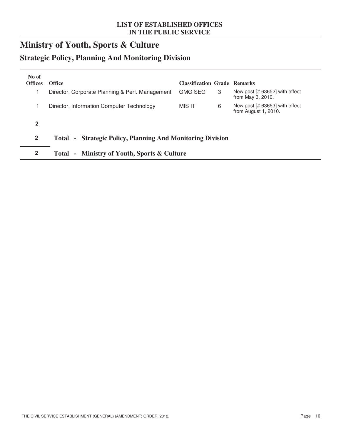# **Ministry of Youth, Sports & Culture**

# **Strategic Policy, Planning And Monitoring Division**

| No of<br><b>Offices</b> | <b>Office</b>                                              | <b>Classification Grade Remarks</b> |                                                        |
|-------------------------|------------------------------------------------------------|-------------------------------------|--------------------------------------------------------|
|                         | Director, Corporate Planning & Perf. Management            | <b>GMG SEG</b><br>3                 | New post [# 63652] with effect<br>from May 3, 2010.    |
|                         | Director, Information Computer Technology                  | MIS IT<br>6                         | New post [# 63653] with effect<br>from August 1, 2010. |
| $\mathbf{2}$            |                                                            |                                     |                                                        |
| $\overline{2}$          | Total - Strategic Policy, Planning And Monitoring Division |                                     |                                                        |
| $\mathbf{2}$            | Total - Ministry of Youth, Sports & Culture                |                                     |                                                        |
|                         |                                                            |                                     |                                                        |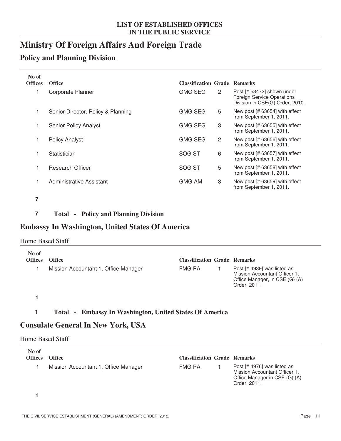# **Ministry Of Foreign Affairs And Foreign Trade**

### **Policy and Planning Division**

| No of<br><b>Offices</b> | <b>Office</b>                      | <b>Classification Grade Remarks</b> |                                                                                             |
|-------------------------|------------------------------------|-------------------------------------|---------------------------------------------------------------------------------------------|
|                         | Corporate Planner                  | <b>GMG SEG</b><br>$\overline{2}$    | Post [# 53472] shown under<br>Foreign Service Operations<br>Division in CSE(G) Order, 2010. |
| 1                       | Senior Director, Policy & Planning | <b>GMG SEG</b><br>5                 | New post [# 63654] with effect<br>from September 1, 2011.                                   |
| 1                       | <b>Senior Policy Analyst</b>       | <b>GMG SEG</b><br>3                 | New post [# 63655] with effect<br>from September 1, 2011.                                   |
|                         | <b>Policy Analyst</b>              | <b>GMG SEG</b><br>$\overline{2}$    | New post [# 63656] with effect<br>from September 1, 2011.                                   |
| 1                       | Statistician                       | SOG ST<br>6                         | New post [# 63657] with effect<br>from September 1, 2011.                                   |
| 1                       | Research Officer                   | SOG ST<br>5                         | New post [# 63658] with effect<br>from September 1, 2011.                                   |
|                         | Administrative Assistant           | <b>GMG AM</b><br>3                  | New post [# 63659] with effect<br>from September 1, 2011.                                   |

**7**

**7 Total - Policy and Planning Division**

### **Embassy In Washington, United States Of America**

#### Home Based Staff

| No of<br><b>Offices</b> | <b>Office</b>                        | <b>Classification Grade Remarks</b> |                                                                                                                |
|-------------------------|--------------------------------------|-------------------------------------|----------------------------------------------------------------------------------------------------------------|
|                         | Mission Accountant 1, Office Manager | <b>FMG PA</b>                       | Post [# 4939] was listed as<br>Mission Accountant Officer 1,<br>Office Manager, in CSE (G) (A)<br>Order, 2011. |
|                         |                                      |                                     |                                                                                                                |

**1**

### **1 Total - Embassy In Washington, United States Of America**

### **Consulate General In New York, USA**

#### Home Based Staff

| No of<br><b>Offices</b> | <b>Office</b>                        | <b>Classification Grade Remarks</b> |                                                                                                               |
|-------------------------|--------------------------------------|-------------------------------------|---------------------------------------------------------------------------------------------------------------|
|                         | Mission Accountant 1, Office Manager | FMG PA                              | Post [# 4976] was listed as<br>Mission Accountant Officer 1.<br>Office Manager in CSE (G) (A)<br>Order, 2011. |

**1**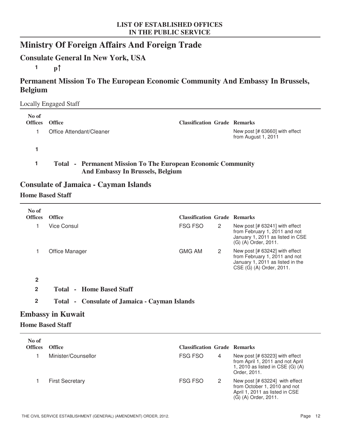# **Ministry Of Foreign Affairs And Foreign Trade**

### **Consulate General In New York, USA**

**1 p**

### **Permanent Mission To The European Economic Community And Embassy In Brussels, Belgium**

#### Locally Engaged Staff

| No of<br><b>Offices</b> | <b>Office</b>                                                                                                  | <b>Classification Grade Remarks</b> |                                                       |
|-------------------------|----------------------------------------------------------------------------------------------------------------|-------------------------------------|-------------------------------------------------------|
|                         | Office Attendant/Cleaner                                                                                       |                                     | New post [# 63660] with effect<br>from August 1, 2011 |
|                         |                                                                                                                |                                     |                                                       |
|                         | <b>Total - Permanent Mission To The European Economic Community</b><br><b>And Embassy In Brussels, Belgium</b> |                                     |                                                       |

### **Consulate of Jamaica - Cayman Islands**

### **Home Based Staff**

| No of<br><b>Offices</b> | <b>Office</b>                                        | <b>Classification Grade Remarks</b> |                |                                                                                                                                 |
|-------------------------|------------------------------------------------------|-------------------------------------|----------------|---------------------------------------------------------------------------------------------------------------------------------|
| 1                       | <b>Vice Consul</b>                                   | <b>FSG FSO</b>                      | $\mathbf{2}$   | New post [# 63241] with effect<br>from February 1, 2011 and not<br>January 1, 2011 as listed in CSE<br>(G) (A) Order, 2011.     |
| 1                       | Office Manager                                       | <b>GMG AM</b>                       | 2              | New post [# 63242] with effect<br>from February 1, 2011 and not<br>January 1, 2011 as listed in the<br>CSE (G) (A) Order, 2011. |
| $\overline{2}$          |                                                      |                                     |                |                                                                                                                                 |
| $\overline{2}$          | <b>Total - Home Based Staff</b>                      |                                     |                |                                                                                                                                 |
| $\overline{2}$          | <b>Total • Consulate of Jamaica • Cayman Islands</b> |                                     |                |                                                                                                                                 |
|                         | <b>Embassy in Kuwait</b>                             |                                     |                |                                                                                                                                 |
|                         | <b>Home Based Staff</b>                              |                                     |                |                                                                                                                                 |
| No of                   |                                                      |                                     |                |                                                                                                                                 |
| <b>Offices</b>          | <b>Office</b>                                        | <b>Classification Grade Remarks</b> |                |                                                                                                                                 |
| 1                       | Minister/Counsellor                                  | <b>FSG FSO</b>                      | 4              | New post [# 63223] with effect<br>from April 1, 2011 and not April<br>1, 2010 as listed in CSE (G) (A)<br>Order, 2011.          |
| 1                       | <b>First Secretary</b>                               | <b>FSG FSO</b>                      | $\overline{2}$ | New post [# 63224] with effect<br>from October 1, 2010 and not                                                                  |

April 1, 2011 as listed in CSE

(G) (A) Order, 2011.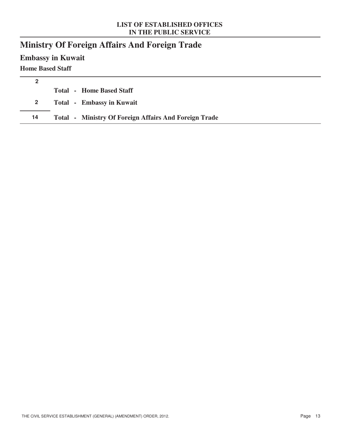# **Ministry Of Foreign Affairs And Foreign Trade**

**Embassy in Kuwait**

### **Home Based Staff**

| 2           |                                                              |
|-------------|--------------------------------------------------------------|
|             | <b>Total - Home Based Staff</b>                              |
| $2^{\circ}$ | <b>Total</b> - Embassy in Kuwait                             |
| 14          | <b>Total - Ministry Of Foreign Affairs And Foreign Trade</b> |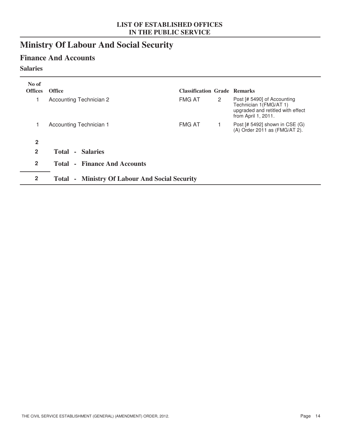# **Ministry Of Labour And Social Security**

### **Finance And Accounts**

### **Salaries**

| No of<br><b>Offices</b> | <b>Office</b>                                         | <b>Classification Grade Remarks</b> |                      |                                                                                                                   |
|-------------------------|-------------------------------------------------------|-------------------------------------|----------------------|-------------------------------------------------------------------------------------------------------------------|
| 1                       | Accounting Technician 2                               | <b>FMG AT</b>                       | $\mathbf{2}^{\circ}$ | Post [# 5490] of Accounting<br>Technician 1(FMG/AT 1)<br>upgraded and retitled with effect<br>from April 1, 2011. |
|                         | Accounting Technician 1                               | <b>FMG AT</b>                       |                      | Post $[# 5492]$ shown in CSE $(G)$<br>(A) Order 2011 as (FMG/AT 2).                                               |
| $\overline{2}$          |                                                       |                                     |                      |                                                                                                                   |
| $\overline{2}$          | <b>Total - Salaries</b>                               |                                     |                      |                                                                                                                   |
| $\overline{2}$          | <b>Total - Finance And Accounts</b>                   |                                     |                      |                                                                                                                   |
| $\mathbf{2}$            | <b>Total - Ministry Of Labour And Social Security</b> |                                     |                      |                                                                                                                   |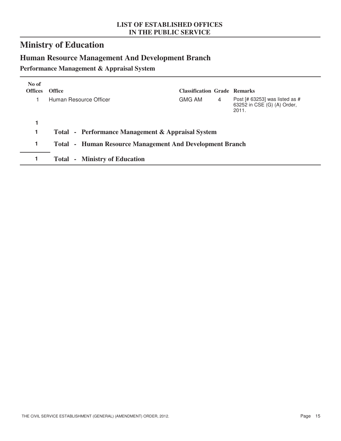# **Ministry of Education**

# **Human Resource Management And Development Branch**

**Performance Management & Appraisal System**

| No of<br><b>Offices</b> | <b>Office</b>                                                   | <b>Classification Grade Remarks</b> |   |                                                                        |
|-------------------------|-----------------------------------------------------------------|-------------------------------------|---|------------------------------------------------------------------------|
|                         | Human Resource Officer                                          | <b>GMG AM</b>                       | 4 | Post [# 63253] was listed as #<br>63252 in CSE (G) (A) Order,<br>2011. |
|                         |                                                                 |                                     |   |                                                                        |
| 1                       | Total - Performance Management & Appraisal System               |                                     |   |                                                                        |
| 1                       | <b>Total - Human Resource Management And Development Branch</b> |                                     |   |                                                                        |
|                         | - Ministry of Education<br>Total                                |                                     |   |                                                                        |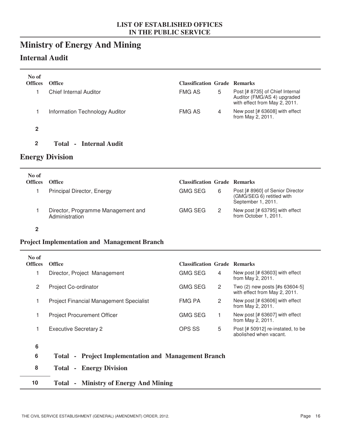# **Ministry of Energy And Mining**

### **Internal Audit**

| No of<br><b>Offices</b> | <b>Office</b>                  | <b>Classification Grade Remarks</b> |   |                                                                                                 |
|-------------------------|--------------------------------|-------------------------------------|---|-------------------------------------------------------------------------------------------------|
|                         | Chief Internal Auditor         | <b>FMG AS</b>                       | 5 | Post [# 8735] of Chief Internal<br>Auditor (FMG/AS 4) upgraded<br>with effect from May 2, 2011. |
|                         | Information Technology Auditor | <b>FMG AS</b>                       | 4 | New post [# 63608] with effect<br>from May 2, 2011.                                             |
| 2                       |                                |                                     |   |                                                                                                 |

**2 Total - Internal Audit**

### **Energy Division**

| No of<br><b>Offices</b> | <b>Office</b>                                        | <b>Classification Grade Remarks</b> |                                                                                     |
|-------------------------|------------------------------------------------------|-------------------------------------|-------------------------------------------------------------------------------------|
|                         | Principal Director, Energy                           | <b>GMG SEG</b><br>6                 | Post [# 8960] of Senior Director<br>(GMG/SEG 6) retitled with<br>September 1, 2011. |
|                         | Director, Programme Management and<br>Administration | <b>GMG SEG</b>                      | New post [# 63795] with effect<br>from October 1, 2011.                             |

#### **2**

#### **Project Implementation and Management Branch**

| No of<br><b>Offices</b> | <b>Office</b>                                                                  | <b>Classification Grade Remarks</b> |                |                                                                 |
|-------------------------|--------------------------------------------------------------------------------|-------------------------------------|----------------|-----------------------------------------------------------------|
| 1                       | Director, Project Management                                                   | <b>GMG SEG</b>                      | 4              | New post [# 63603] with effect<br>from May 2, 2011.             |
| $\overline{2}$          | Project Co-ordinator                                                           | <b>GMG SEG</b>                      | $\overline{2}$ | Two (2) new posts [#s 63604-5]<br>with effect from May 2, 2011. |
| 1                       | <b>Project Financial Management Specialist</b>                                 | <b>FMG PA</b>                       | $\overline{2}$ | New post [# 63606] with effect<br>from May 2, 2011.             |
| 1                       | <b>Project Procurement Officer</b>                                             | <b>GMG SEG</b>                      |                | New post [# 63607] with effect<br>from May 2, 2011.             |
| 1                       | <b>Executive Secretary 2</b>                                                   | <b>OPS SS</b>                       | 5              | Post [# 50912] re-instated, to be<br>abolished when vacant.     |
| 6                       |                                                                                |                                     |                |                                                                 |
| 6                       | <b>Project Implementation and Management Branch</b><br>Total<br>$\blacksquare$ |                                     |                |                                                                 |
| 8                       | - Energy Division<br>Total                                                     |                                     |                |                                                                 |
| 10                      | <b>Ministry of Energy And Mining</b><br><b>Total</b><br>$\sim$                 |                                     |                |                                                                 |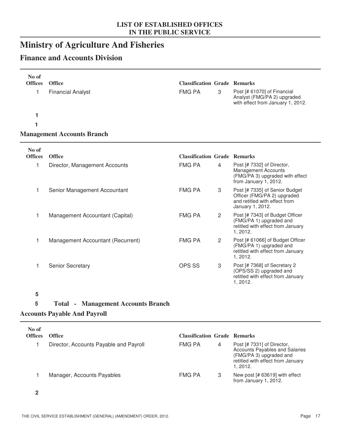# **Ministry of Agriculture And Fisheries**

### **Finance and Accounts Division**

| No of<br><b>Offices</b><br>1<br>1<br>1 | <b>Office</b><br><b>Financial Analyst</b><br><b>Management Accounts Branch</b> | <b>Classification Grade Remarks</b><br><b>FMG PA</b> | 3            | Post [# 61070] of Financial<br>Analyst (FMG/PA 2) upgraded<br>with effect from January 1, 2012.                      |
|----------------------------------------|--------------------------------------------------------------------------------|------------------------------------------------------|--------------|----------------------------------------------------------------------------------------------------------------------|
| No of<br><b>Offices</b>                | <b>Office</b>                                                                  | <b>Classification Grade Remarks</b>                  |              |                                                                                                                      |
| 1                                      | Director, Management Accounts                                                  | <b>FMG PA</b>                                        | 4            | Post [# 7332] of Director,<br><b>Management Accounts</b><br>(FMG/PA 3) upgraded with effect<br>from January 1, 2012. |
| 1                                      | Senior Management Accountant                                                   | <b>FMG PA</b>                                        | 3            | Post [# 7335] of Senior Budget<br>Officer (FMG/PA 2) upgraded<br>and retitled with effect from<br>January 1, 2012.   |
| 1                                      | Management Accountant (Capital)                                                | <b>FMG PA</b>                                        | $\mathbf{2}$ | Post [# 7343] of Budget Officer<br>(FMG/PA 1) upgraded and<br>retitled with effect from January<br>1, 2012.          |
| 1                                      | Management Accountant (Recurrent)                                              | <b>FMG PA</b>                                        | $\mathbf{2}$ | Post [# 61066] of Budget Officer<br>(FMG/PA 1) upgraded and<br>retitled with effect from January<br>1, 2012.         |
| 1                                      | <b>Senior Secretary</b>                                                        | <b>OPS SS</b>                                        | 3            | Post [# 7368] of Secretary 2<br>(OPS/SS 2) upgraded and<br>retitled with effect from January<br>1, 2012.             |

### **5**

### **5 Total - Management Accounts Branch**

### **Accounts Payable And Payroll**

| No of<br><b>Offices</b> | <b>Office</b>                          | <b>Classification Grade Remarks</b> |   |                                                                                                                                                |
|-------------------------|----------------------------------------|-------------------------------------|---|------------------------------------------------------------------------------------------------------------------------------------------------|
|                         | Director, Accounts Payable and Payroll | <b>FMG PA</b>                       | 4 | Post [# 7331] of Director,<br><b>Accounts Payables and Salaries</b><br>(FMG/PA 3) upgraded and<br>retitled with effect from January<br>1.2012. |
|                         | Manager, Accounts Payables             | <b>FMG PA</b>                       |   | New post [# 63619] with effect<br>from January 1, 2012.                                                                                        |

**2**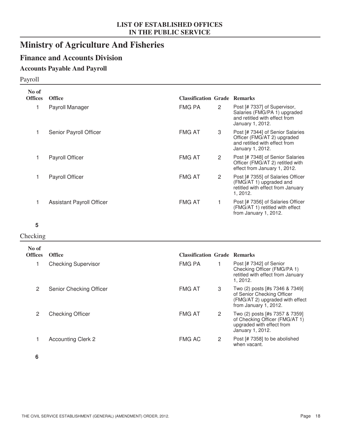# **Ministry of Agriculture And Fisheries**

### **Finance and Accounts Division**

### **Accounts Payable And Payroll**

### Payroll

| No of<br><b>Offices</b> | <b>Office</b>                    | <b>Classification Grade Remarks</b> |                       |                                                                                                                      |
|-------------------------|----------------------------------|-------------------------------------|-----------------------|----------------------------------------------------------------------------------------------------------------------|
|                         | Payroll Manager                  | <b>FMG PA</b>                       | $\mathbf{2}^{\circ}$  | Post [# 7337] of Supervisor,<br>Salaries (FMG/PA 1) upgraded<br>and retitled with effect from<br>January 1, 2012.    |
|                         | Senior Payroll Officer           | <b>FMG AT</b>                       | 3                     | Post [# 7344] of Senior Salaries<br>Officer (FMG/AT 2) upgraded<br>and retitled with effect from<br>January 1, 2012. |
|                         | Payroll Officer                  | <b>FMG AT</b>                       | $\mathbf{2}^{\prime}$ | Post [# 7348] of Senior Salaries<br>Officer (FMG/AT 2) retitled with<br>effect from January 1, 2012.                 |
|                         | Payroll Officer                  | <b>FMG AT</b>                       | $\mathbf{2}^{\circ}$  | Post [# 7355] of Salaries Officer<br>(FMG/AT 1) upgraded and<br>retitled with effect from January<br>1, 2012.        |
|                         | <b>Assistant Payroll Officer</b> | <b>FMG AT</b>                       |                       | Post [# 7356] of Salaries Officer<br>(FMG/AT 1) retitled with effect<br>from January 1, 2012.                        |

#### **5**

#### Checking

| No of<br><b>Offices</b> | <b>Office</b>              | <b>Classification Grade Remarks</b> |                |                                                                                                                          |
|-------------------------|----------------------------|-------------------------------------|----------------|--------------------------------------------------------------------------------------------------------------------------|
|                         | <b>Checking Supervisor</b> | <b>FMG PA</b>                       |                | Post [# 7342] of Senior<br>Checking Officer (FMG/PA 1)<br>retitled with effect from January<br>1.2012.                   |
| 2                       | Senior Checking Officer    | <b>FMG AT</b>                       | 3              | Two (2) posts [#s 7346 & 7349]<br>of Senior Checking Officer<br>(FMG/AT 2) upgraded with effect<br>from January 1, 2012. |
| 2                       | <b>Checking Officer</b>    | <b>FMG AT</b>                       | $\overline{2}$ | Two (2) posts [#s 7357 & 7359]<br>of Checking Officer (FMG/AT 1)<br>upgraded with effect from<br>January 1, 2012.        |
|                         | <b>Accounting Clerk 2</b>  | <b>FMG AC</b>                       | 2              | Post [# 7358] to be abolished<br>when vacant.                                                                            |

**6**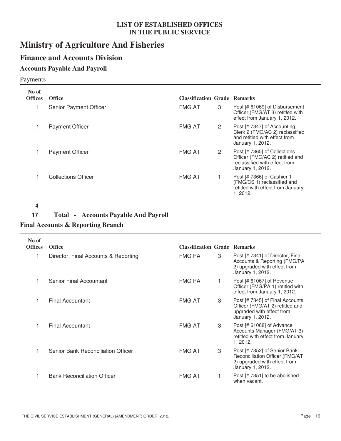# **Ministry of Agriculture And Fisheries**

### **Finance and Accounts Division**

### **Accounts Payable And Payroll**

#### Payments

| No of<br><b>Offices</b> | <b>Office</b>          | <b>Classification Grade Remarks</b> |                |                                                                                                                      |
|-------------------------|------------------------|-------------------------------------|----------------|----------------------------------------------------------------------------------------------------------------------|
|                         | Senior Payment Officer | <b>FMG AT</b>                       | 3              | Post [# 61069] of Disbursement<br>Officer (FMG/AT 3) retitled with<br>effect from January 1, 2012.                   |
|                         | <b>Payment Officer</b> | <b>FMG AT</b>                       | $\overline{2}$ | Post [# 7347] of Accounting<br>Clerk 2 (FMG/AC 2) reclassified<br>and retitled with effect from<br>January 1, 2012.  |
|                         | <b>Payment Officer</b> | <b>FMG AT</b>                       | 2              | Post [# 7365] of Collections<br>Officer (FMG/AC 2) retitled and<br>reclassified with effect from<br>January 1, 2012. |
|                         | Collections Officer    | <b>FMG AT</b>                       |                | Post [# 7366] of Cashier 1<br>(FMG/CS 1) reclassified and<br>retitled with effect from January<br>1, 2012.           |

#### **4**

### **17 Total - Accounts Payable And Payroll**

### **Final Accounts & Reporting Branch**

| No of<br><b>Offices</b> | <b>Office</b>                        | <b>Classification Grade Remarks</b> |   |                                                                                                                      |
|-------------------------|--------------------------------------|-------------------------------------|---|----------------------------------------------------------------------------------------------------------------------|
|                         | Director, Final Accounts & Reporting | FMG PA                              | 3 | Post [# 7341] of Director, Final<br>Accounts & Reporting (FMG/PA<br>2) upgraded with effect from<br>January 1, 2012. |
|                         | Senior Final Accountant              | <b>FMG PA</b>                       |   | Post [# 61067] of Revenue<br>Officer (FMG/PA 1) retitled with<br>effect from January 1, 2012.                        |
|                         | Final Accountant                     | <b>FMG AT</b>                       | 3 | Post [# 7345] of Final Accounts<br>Officer (FMG/AT 2) retitled and<br>upgraded with effect from<br>January 1, 2012.  |
|                         | Final Accountant                     | <b>FMG AT</b>                       | 3 | Post [# 61068] of Advance<br>Accounts Manager (FMG/AT 3)<br>retitled with effect from January<br>1, 2012.            |
|                         | Senior Bank Reconciliation Officer   | <b>FMG AT</b>                       | 3 | Post [# 7352] of Senior Bank<br>Reconciliation Officer (FMG/AT<br>2) upgraded with effect from<br>January 1, 2012.   |
|                         | <b>Bank Reconciliation Officer</b>   | <b>FMG AT</b>                       |   | Post [# 7351] to be abolished<br>when vacant.                                                                        |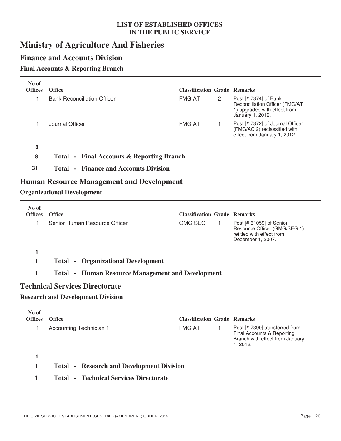# **Ministry of Agriculture And Fisheries**

### **Finance and Accounts Division**

### **Final Accounts & Reporting Branch**

| No of          |                                                          |                                     |                |                                                                                                             |
|----------------|----------------------------------------------------------|-------------------------------------|----------------|-------------------------------------------------------------------------------------------------------------|
| <b>Offices</b> | <b>Office</b>                                            | <b>Classification Grade Remarks</b> |                |                                                                                                             |
| 1              | <b>Bank Reconciliation Officer</b>                       | <b>FMG AT</b>                       | $\overline{c}$ | Post [# 7374] of Bank<br>Reconciliation Officer (FMG/AT<br>1) upgraded with effect from<br>January 1, 2012. |
| 1              | Journal Officer                                          | <b>FMG AT</b>                       | 1              | Post [# 7372] of Journal Officer<br>(FMG/AC 2) reclassified with<br>effect from January 1, 2012             |
| 8              |                                                          |                                     |                |                                                                                                             |
| 8              | <b>Total - Final Accounts &amp; Reporting Branch</b>     |                                     |                |                                                                                                             |
| 31             | <b>Total - Finance and Accounts Division</b>             |                                     |                |                                                                                                             |
|                | <b>Human Resource Management and Development</b>         |                                     |                |                                                                                                             |
|                | <b>Organizational Development</b>                        |                                     |                |                                                                                                             |
| No of          |                                                          |                                     |                |                                                                                                             |
| <b>Offices</b> | <b>Office</b>                                            | <b>Classification Grade Remarks</b> |                |                                                                                                             |
| 1              | Senior Human Resource Officer                            | <b>GMG SEG</b>                      | 1              | Post [# 61059] of Senior<br>Resource Officer (GMG/SEG 1)<br>retitled with effect from<br>December 1, 2007.  |
| 1              |                                                          |                                     |                |                                                                                                             |
| 1              | <b>Total - Organizational Development</b>                |                                     |                |                                                                                                             |
| 1              | <b>Total • Human Resource Management and Development</b> |                                     |                |                                                                                                             |
|                | <b>Technical Services Directorate</b>                    |                                     |                |                                                                                                             |
|                | <b>Research and Development Division</b>                 |                                     |                |                                                                                                             |
| No of          |                                                          |                                     |                |                                                                                                             |
| <b>Offices</b> | <b>Office</b>                                            | <b>Classification Grade Remarks</b> |                |                                                                                                             |
| 1              | Accounting Technician 1                                  | <b>FMG AT</b>                       | 1              | Post [# 7390] transferred from<br>Final Accounts & Reporting<br>Branch with effect from January<br>1, 2012. |
| 1              |                                                          |                                     |                |                                                                                                             |

- **1 Total Research and Development Division**
- **1 Total Technical Services Directorate**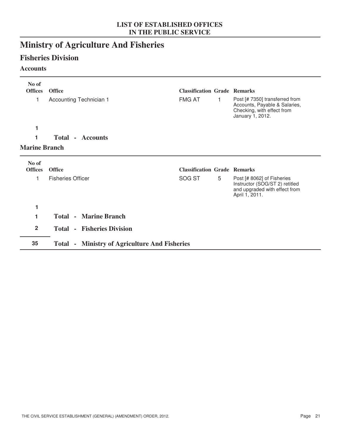# **Ministry of Agriculture And Fisheries**

### **Fisheries Division**

### **Accounts**

| No of<br><b>Offices</b> | <b>Office</b>                                        | <b>Classification Grade Remarks</b> |    |                                                                                                                   |
|-------------------------|------------------------------------------------------|-------------------------------------|----|-------------------------------------------------------------------------------------------------------------------|
| 1                       | Accounting Technician 1                              | <b>FMG AT</b>                       | 1. | Post [# 7350] transferred from<br>Accounts, Payable & Salaries,<br>Checking, with effect from<br>January 1, 2012. |
| 1                       |                                                      |                                     |    |                                                                                                                   |
| 1                       | <b>Total - Accounts</b>                              |                                     |    |                                                                                                                   |
| <b>Marine Branch</b>    |                                                      |                                     |    |                                                                                                                   |
| No of<br><b>Offices</b> | <b>Office</b>                                        | <b>Classification Grade Remarks</b> |    |                                                                                                                   |
| 1                       | <b>Fisheries Officer</b>                             | SOG ST                              | 5  | Post [# 8062] of Fisheries<br>Instructor (SOG/ST 2) retitled<br>and upgraded with effect from<br>April 1, 2011.   |
| 1                       |                                                      |                                     |    |                                                                                                                   |
| 1                       | <b>Total - Marine Branch</b>                         |                                     |    |                                                                                                                   |
| $\overline{2}$          | <b>Total - Fisheries Division</b>                    |                                     |    |                                                                                                                   |
| 35                      | <b>Total - Ministry of Agriculture And Fisheries</b> |                                     |    |                                                                                                                   |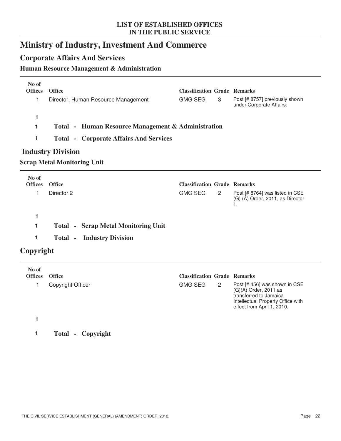# **Ministry of Industry, Investment And Commerce**

### **Corporate Affairs And Services**

### **Human Resource Management & Administration**

| No of<br><b>Offices</b> | <b>Office</b>                                      | <b>Classification Grade Remarks</b> |   |                                                            |
|-------------------------|----------------------------------------------------|-------------------------------------|---|------------------------------------------------------------|
|                         | Director, Human Resource Management                | GMG SEG                             | 3 | Post [# 8757] previously shown<br>under Corporate Affairs. |
|                         |                                                    |                                     |   |                                                            |
|                         | Total - Human Resource Management & Administration |                                     |   |                                                            |
|                         | <b>Total - Corporate Affairs And Services</b>      |                                     |   |                                                            |

### **Industry Division**

### **Scrap Metal Monitoring Unit**

| No of<br><b>Offices</b> | <b>Office</b>                              | <b>Classification Grade Remarks</b> |   |                                                                     |
|-------------------------|--------------------------------------------|-------------------------------------|---|---------------------------------------------------------------------|
|                         | Director 2                                 | <b>GMG SEG</b>                      | 2 | Post [# 8764] was listed in CSE<br>(G) (A) Order, 2011, as Director |
|                         |                                            |                                     |   |                                                                     |
|                         | <b>Total - Scrap Metal Monitoring Unit</b> |                                     |   |                                                                     |
|                         | <b>Total - Industry Division</b>           |                                     |   |                                                                     |

### **Copyright**

| No of<br><b>Offices</b> | <b>Office</b>     | <b>Classification Grade Remarks</b> |                                                                                                                                                       |
|-------------------------|-------------------|-------------------------------------|-------------------------------------------------------------------------------------------------------------------------------------------------------|
|                         | Copyright Officer | <b>GMG SEG</b><br>2                 | Post [# 456] was shown in CSE<br>$(G)(A)$ Order, 2011 as<br>transferred to Jamaica<br>Intellectual Property Office with<br>effect from April 1, 2010. |
|                         |                   |                                     |                                                                                                                                                       |

**1 Total - Copyright**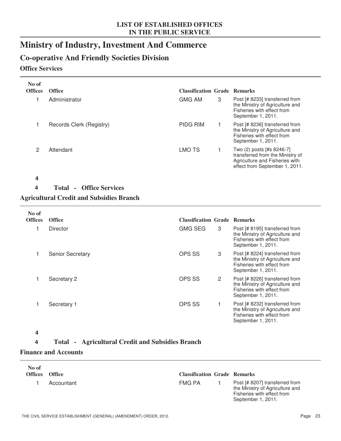# **Ministry of Industry, Investment And Commerce**

### **Co-operative And Friendly Societies Division**

### **Office Services**

| No of<br><b>Offices</b> | <b>Office</b>                                    | <b>Classification Grade Remarks</b> |   |                                                                                                                                   |
|-------------------------|--------------------------------------------------|-------------------------------------|---|-----------------------------------------------------------------------------------------------------------------------------------|
|                         | Administrator                                    | <b>GMG AM</b>                       | 3 | Post [# 8233] transferred from<br>the Ministry of Agriculture and<br>Fisheries with effect from<br>September 1, 2011.             |
|                         | Records Clerk (Registry)                         | <b>PIDG RIM</b>                     |   | Post [# 8236] transferred from<br>the Ministry of Agriculture and<br>Fisheries with effect from<br>September 1, 2011.             |
| 2                       | Attendant                                        | <b>LMO TS</b>                       |   | Two (2) posts [#s 8246-7]<br>transferred from the Ministry of<br>Agriculture and Fisheries with<br>effect from September 1, 2011. |
| 4                       |                                                  |                                     |   |                                                                                                                                   |
| 4                       | <b>Office Services</b><br><b>Total</b><br>$\sim$ |                                     |   |                                                                                                                                   |

#### **Agricultural Credit and Subsidies Branch**

| No of          |                         |                                     |                                                                                                                       |
|----------------|-------------------------|-------------------------------------|-----------------------------------------------------------------------------------------------------------------------|
| <b>Offices</b> | <b>Office</b>           | <b>Classification Grade Remarks</b> |                                                                                                                       |
|                | Director                | <b>GMG SEG</b><br>3                 | Post [# 8195] transferred from<br>the Ministry of Agriculture and<br>Fisheries with effect from<br>September 1, 2011. |
|                | <b>Senior Secretary</b> | OPS SS<br>3                         | Post [# 8224] transferred from<br>the Ministry of Agriculture and<br>Fisheries with effect from<br>September 1, 2011. |
|                | Secretary 2             | OPS SS<br>$\overline{2}$            | Post [# 8226] transferred from<br>the Ministry of Agriculture and<br>Fisheries with effect from<br>September 1, 2011. |
|                | Secretary 1             | OPS SS                              | Post [# 8232] transferred from<br>the Ministry of Agriculture and<br>Fisheries with effect from<br>September 1, 2011. |

#### **4**

### **4 Total - Agricultural Credit and Subsidies Branch**

#### **Finance and Accounts**

| No of<br>Offices Office |            | <b>Classification Grade Remarks</b> |                                                                                                                       |
|-------------------------|------------|-------------------------------------|-----------------------------------------------------------------------------------------------------------------------|
|                         | Accountant | FMG PA                              | Post [# 8207] transferred from<br>the Ministry of Agriculture and<br>Fisheries with effect from<br>September 1, 2011. |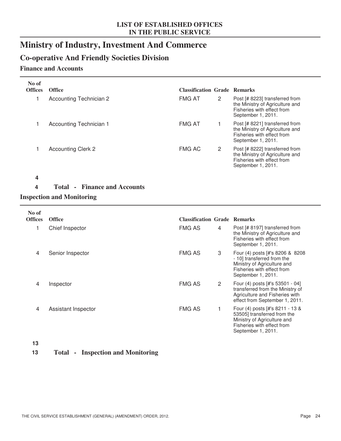# **Ministry of Industry, Investment And Commerce**

### **Co-operative And Friendly Societies Division**

### **Finance and Accounts**

| No of<br><b>Offices</b> | <b>Office</b>             | <b>Classification Grade Remarks</b> |   |                                                                                                                       |
|-------------------------|---------------------------|-------------------------------------|---|-----------------------------------------------------------------------------------------------------------------------|
|                         | Accounting Technician 2   | <b>FMG AT</b>                       | 2 | Post [# 8223] transferred from<br>the Ministry of Agriculture and<br>Fisheries with effect from<br>September 1, 2011. |
|                         | Accounting Technician 1   | <b>FMG AT</b>                       |   | Post [# 8221] transferred from<br>the Ministry of Agriculture and<br>Fisheries with effect from<br>September 1, 2011. |
|                         | <b>Accounting Clerk 2</b> | <b>FMG AC</b>                       | 2 | Post [# 8222] transferred from<br>the Ministry of Agriculture and<br>Fisheries with effect from<br>September 1, 2011. |

#### **4**

### **4 Total - Finance and Accounts**

### **Inspection and Monitoring**

| No of<br><b>Offices</b> | <b>Office</b>       | <b>Classification Grade Remarks</b> |   |                                                                                                                                                   |
|-------------------------|---------------------|-------------------------------------|---|---------------------------------------------------------------------------------------------------------------------------------------------------|
|                         | Chief Inspector     | <b>FMG AS</b>                       | 4 | Post [# 8197] transferred from<br>the Ministry of Agriculture and<br>Fisheries with effect from<br>September 1, 2011.                             |
| 4                       | Senior Inspector    | <b>FMG AS</b>                       | 3 | Four (4) posts [#'s 8206 & 8208<br>- 10] transferred from the<br>Ministry of Agriculture and<br>Fisheries with effect from<br>September 1, 2011.  |
| 4                       | Inspector           | <b>FMG AS</b>                       | 2 | Four (4) posts [#'s 53501 - 04]<br>transferred from the Ministry of<br>Agriculture and Fisheries with<br>effect from September 1, 2011.           |
| 4                       | Assistant Inspector | <b>FMG AS</b>                       |   | Four (4) posts [#'s 8211 - 13 &<br>53505] transferred from the<br>Ministry of Agriculture and<br>Fisheries with effect from<br>September 1, 2011. |

#### **13**

### **13 Total - Inspection and Monitoring**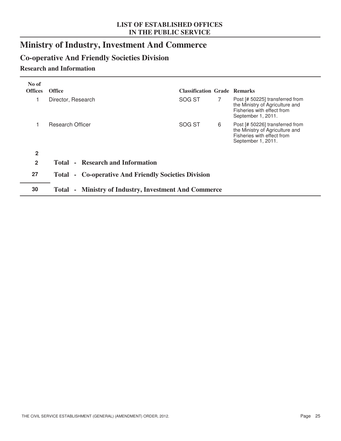# **Ministry of Industry, Investment And Commerce**

# **Co-operative And Friendly Societies Division**

### **Research and Information**

| No of<br><b>Offices</b> | <b>Office</b>                                                  | <b>Classification Grade Remarks</b> |             |                                                                                                                        |  |
|-------------------------|----------------------------------------------------------------|-------------------------------------|-------------|------------------------------------------------------------------------------------------------------------------------|--|
|                         | Director, Research                                             | SOG ST                              | $7^{\circ}$ | Post [# 50225] transferred from<br>the Ministry of Agriculture and<br>Fisheries with effect from<br>September 1, 2011. |  |
|                         | Research Officer                                               | SOG ST                              | 6           | Post [# 50226] transferred from<br>the Ministry of Agriculture and<br>Fisheries with effect from<br>September 1, 2011. |  |
| $\mathbf{2}$            |                                                                |                                     |             |                                                                                                                        |  |
| $\overline{2}$          | <b>Total - Research and Information</b>                        |                                     |             |                                                                                                                        |  |
| 27                      | - Co-operative And Friendly Societies Division<br><b>Total</b> |                                     |             |                                                                                                                        |  |
| 30                      | <b>Ministry of Industry, Investment And Commerce</b><br>Total  |                                     |             |                                                                                                                        |  |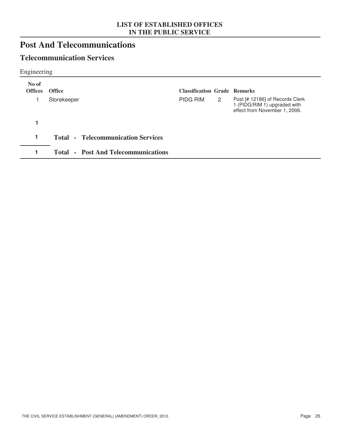# **Post And Telecommunications**

### **Telecommunication Services**

Engineering

| No of<br><b>Offices</b> | <b>Office</b>                              | <b>Classification Grade Remarks</b> |              |                                                                                                  |
|-------------------------|--------------------------------------------|-------------------------------------|--------------|--------------------------------------------------------------------------------------------------|
|                         | Storekeeper                                | PIDG RIM                            | $\mathbf{2}$ | Post [# 12186] of Records Clerk<br>1 (PIDG/RIM 1) upgraded with<br>effect from November 1, 2006. |
|                         |                                            |                                     |              |                                                                                                  |
|                         | <b>Total - Telecommunication Services</b>  |                                     |              |                                                                                                  |
|                         | <b>Total - Post And Telecommunications</b> |                                     |              |                                                                                                  |
|                         |                                            |                                     |              |                                                                                                  |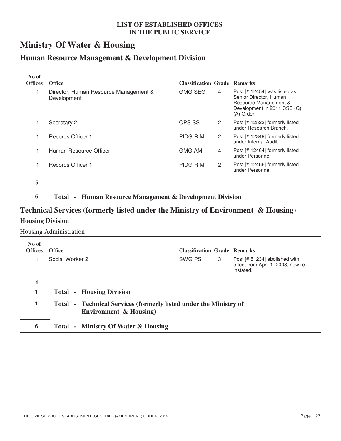# **Ministry Of Water & Housing**

### **Human Resource Management & Development Division**

| No of<br><b>Offices</b> | <b>Office</b>                                        | <b>Classification Grade Remarks</b> |   |                                                                                                                              |
|-------------------------|------------------------------------------------------|-------------------------------------|---|------------------------------------------------------------------------------------------------------------------------------|
|                         | Director, Human Resource Management &<br>Development | <b>GMG SEG</b>                      | 4 | Post [# 12454] was listed as<br>Senior Director, Human<br>Resource Management &<br>Development in 2011 CSE (G)<br>(A) Order. |
|                         | Secretary 2                                          | OPS SS                              | 2 | Post [# 12523] formerly listed<br>under Research Branch.                                                                     |
| 1                       | Records Officer 1                                    | <b>PIDG RIM</b>                     | 2 | Post [# 12349] formerly listed<br>under Internal Audit.                                                                      |
|                         | Human Resource Officer                               | <b>GMG AM</b>                       | 4 | Post [# 12464] formerly listed<br>under Personnel.                                                                           |
|                         | <b>Records Officer 1</b>                             | <b>PIDG RIM</b>                     | 2 | Post [# 12466] formerly listed<br>under Personnel.                                                                           |

**5**

**5 Total - Human Resource Management & Development Division**

### **Technical Services (formerly listed under the Ministry of Environment & Housing) Housing Division**

Housing Administration

| No of<br><b>Offices</b> | <b>Office</b>                                                                               | <b>Classification Grade Remarks</b> |   |                                                                                  |  |
|-------------------------|---------------------------------------------------------------------------------------------|-------------------------------------|---|----------------------------------------------------------------------------------|--|
|                         | Social Worker 2                                                                             | SWG PS                              | 3 | Post [# 51234] abolished with<br>effect from April 1, 2008, now re-<br>instated. |  |
|                         |                                                                                             |                                     |   |                                                                                  |  |
| 1                       | <b>Total - Housing Division</b>                                                             |                                     |   |                                                                                  |  |
| 1                       | Total - Technical Services (formerly listed under the Ministry of<br>Environment & Housing) |                                     |   |                                                                                  |  |
| 6                       | Total - Ministry Of Water & Housing                                                         |                                     |   |                                                                                  |  |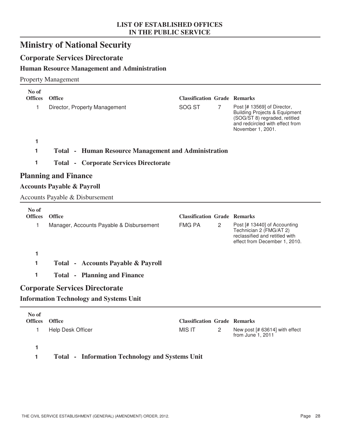# **Ministry of National Security**

### **Corporate Services Directorate**

### **Human Resource Management and Administration**

#### Property Management

| No of<br><b>Offices</b> | <b>Office</b>                                               | <b>Classification Grade Remarks</b> |   |                                                                                                                                                                  |
|-------------------------|-------------------------------------------------------------|-------------------------------------|---|------------------------------------------------------------------------------------------------------------------------------------------------------------------|
| 1                       | Director, Property Management                               | SOG ST                              | 7 | Post [# 13569] of Director,<br><b>Building Projects &amp; Equipment</b><br>(SOG/ST 8) regraded, retitled<br>and redcircled with effect from<br>November 1, 2001. |
| 1                       |                                                             |                                     |   |                                                                                                                                                                  |
| 1                       | <b>Total • Human Resource Management and Administration</b> |                                     |   |                                                                                                                                                                  |
| 1                       | <b>Total - Corporate Services Directorate</b>               |                                     |   |                                                                                                                                                                  |
|                         | <b>Planning and Finance</b>                                 |                                     |   |                                                                                                                                                                  |
|                         | <b>Accounts Payable &amp; Payroll</b>                       |                                     |   |                                                                                                                                                                  |
|                         | <b>Accounts Payable &amp; Disbursement</b>                  |                                     |   |                                                                                                                                                                  |
| No of                   |                                                             |                                     |   |                                                                                                                                                                  |
| <b>Offices</b>          | <b>Office</b>                                               | <b>Classification Grade Remarks</b> |   |                                                                                                                                                                  |
| 1                       | Manager, Accounts Payable & Disbursement                    | <b>FMG PA</b>                       | 2 | Post [# 13440] of Accounting<br>Technician 2 (FMG/AT 2)<br>reclassified and retitled with<br>effect from December 1, 2010.                                       |
| 1                       |                                                             |                                     |   |                                                                                                                                                                  |
| 1                       | <b>Total - Accounts Payable &amp; Payroll</b>               |                                     |   |                                                                                                                                                                  |
|                         |                                                             |                                     |   |                                                                                                                                                                  |
| 1                       | <b>Total - Planning and Finance</b>                         |                                     |   |                                                                                                                                                                  |
|                         | <b>Corporate Services Directorate</b>                       |                                     |   |                                                                                                                                                                  |
|                         | <b>Information Technology and Systems Unit</b>              |                                     |   |                                                                                                                                                                  |

| Offices Office |                   | <b>Classification Grade Remarks</b> |               |                                                       |
|----------------|-------------------|-------------------------------------|---------------|-------------------------------------------------------|
|                | Help Desk Officer | MIS IT                              | $\mathcal{P}$ | New post $[# 63614]$ with effect<br>from June 1, 2011 |
|                |                   |                                     |               |                                                       |

### **1 Total - Information Technology and Systems Unit**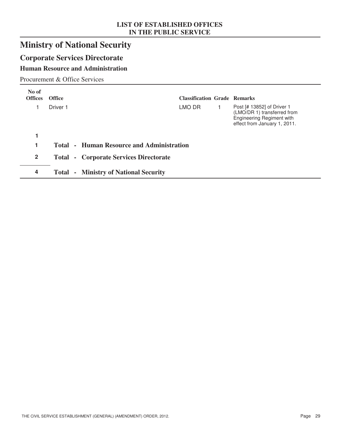# **Ministry of National Security**

# **Corporate Services Directorate**

### **Human Resource and Administration**

Procurement & Office Services

| No of<br><b>Offices</b> | <b>Office</b>       |                                                  | <b>Classification Grade Remarks</b> |                                                                                                                        |
|-------------------------|---------------------|--------------------------------------------------|-------------------------------------|------------------------------------------------------------------------------------------------------------------------|
|                         | Driver <sub>1</sub> |                                                  | LMO DR                              | Post [# 13852] of Driver 1<br>(LMO/DR 1) transferred from<br>Engineering Regiment with<br>effect from January 1, 2011. |
|                         |                     |                                                  |                                     |                                                                                                                        |
| 1                       |                     | <b>Total - Human Resource and Administration</b> |                                     |                                                                                                                        |
| $\overline{2}$          |                     | <b>Total - Corporate Services Directorate</b>    |                                     |                                                                                                                        |
| 4                       |                     | <b>Total - Ministry of National Security</b>     |                                     |                                                                                                                        |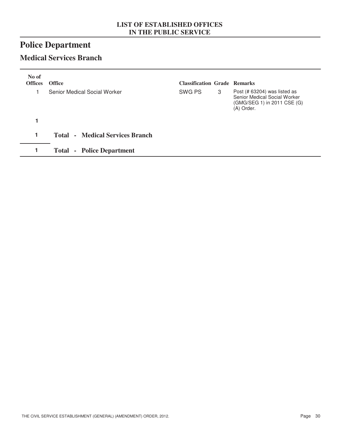# **Police Department**

### **Medical Services Branch**

| No of<br><b>Offices</b> | <b>Office</b>                          | <b>Classification Grade Remarks</b> |   |                                                                                                             |
|-------------------------|----------------------------------------|-------------------------------------|---|-------------------------------------------------------------------------------------------------------------|
|                         | Senior Medical Social Worker           | SWG PS                              | 3 | Post $(# 63204)$ was listed as<br>Senior Medical Social Worker<br>(GMG/SEG 1) in 2011 CSE (G)<br>(A) Order. |
|                         |                                        |                                     |   |                                                                                                             |
| 1                       | <b>Total - Medical Services Branch</b> |                                     |   |                                                                                                             |
|                         | <b>Total - Police Department</b>       |                                     |   |                                                                                                             |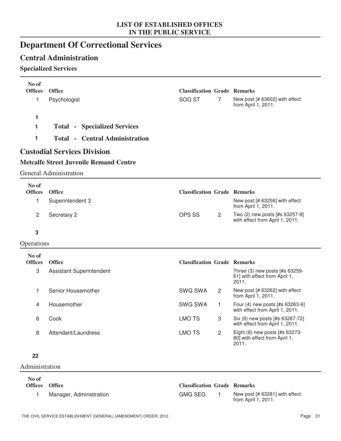# **Department Of Correctional Services**

### **Central Administration**

### **Specialized Services**

| No of<br><b>Offices</b> | <b>Office</b>                                 | <b>Classification Grade Remarks</b> |                |                                                                          |
|-------------------------|-----------------------------------------------|-------------------------------------|----------------|--------------------------------------------------------------------------|
| 1                       | Psychologist                                  | SOG ST                              | 7              | New post [# 63602] with effect<br>from April 1, 2011.                    |
| 1                       |                                               |                                     |                |                                                                          |
| 1                       | <b>Total - Specialized Services</b>           |                                     |                |                                                                          |
| 1                       | <b>Total - Central Administration</b>         |                                     |                |                                                                          |
|                         | <b>Custodial Services Division</b>            |                                     |                |                                                                          |
|                         | <b>Metcalfe Street Juvenile Remand Centre</b> |                                     |                |                                                                          |
|                         | <b>General Administration</b>                 |                                     |                |                                                                          |
| No of                   |                                               |                                     |                |                                                                          |
| <b>Offices</b>          | <b>Office</b>                                 | <b>Classification Grade Remarks</b> |                |                                                                          |
| 1                       | Superintendent 3                              |                                     |                | New post [# 63256] with effect<br>from April 1, 2011.                    |
| 2                       | Secretary 2                                   | OPS SS                              | 2              | Two (2) new posts [#s 63257-8]<br>with effect from April 1, 2011.        |
| 3                       |                                               |                                     |                |                                                                          |
| Operations              |                                               |                                     |                |                                                                          |
| No of                   |                                               |                                     |                |                                                                          |
| <b>Offices</b>          | <b>Office</b>                                 | <b>Classification Grade Remarks</b> |                |                                                                          |
| 3                       | <b>Assistant Superintendent</b>               |                                     |                | Three (3) new posts [#s 63259-<br>61] with effect from April 1,<br>2011. |
| 1                       | Senior Housemother                            | <b>SWG SWA</b>                      | $\overline{2}$ | New post [# 63262] with effect<br>from April 1, 2011.                    |
| 4                       | Housemother                                   | <b>SWG SWA</b>                      | 1              | Four (4) new posts [#s 63263-6]<br>with effect from April 1, 2011.       |
| 6                       | Cook                                          | <b>LMO TS</b>                       | 3              | Six (6) new posts [#s 63267-72]<br>with effect from April 1, 2011.       |
| 8                       | Attendant/Laundress                           | <b>LMO TS</b>                       | $\overline{2}$ | Eight (8) new posts [#s 63273-<br>80] with effect from April 1,<br>2011. |
| 22                      |                                               |                                     |                |                                                                          |
| Administration          |                                               |                                     |                |                                                                          |
| No of                   |                                               |                                     |                |                                                                          |
| <b>Offices</b>          | <b>Office</b>                                 | <b>Classification Grade Remarks</b> |                |                                                                          |
| $\mathbf{1}$            | Manager, Administration                       | <b>GMG SEG</b>                      | $\mathbf{1}$   | New post [# 63281] with effect                                           |

1 Manager, Administration 1 CGMG SEG 1 New post [# 63281] with effect

from April 1, 2011.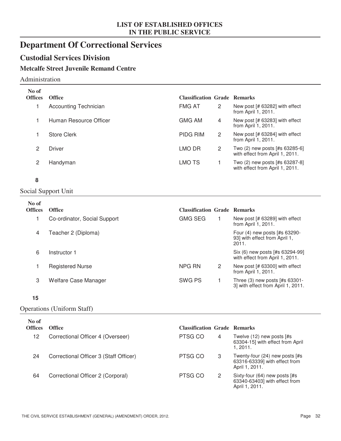# **Department Of Correctional Services**

### **Custodial Services Division**

### **Metcalfe Street Juvenile Remand Centre**

#### Administration

| No of<br><b>Offices</b> | <b>Office</b>                | <b>Classification Grade Remarks</b> |   |                                                                   |
|-------------------------|------------------------------|-------------------------------------|---|-------------------------------------------------------------------|
|                         | <b>Accounting Technician</b> | <b>FMG AT</b>                       | 2 | New post [# 63282] with effect<br>from April 1, 2011.             |
|                         | Human Resource Officer       | GMG AM                              | 4 | New post [# 63283] with effect<br>from April 1, 2011.             |
|                         | <b>Store Clerk</b>           | <b>PIDG RIM</b>                     | 2 | New post [# 63284] with effect<br>from April 1, 2011.             |
| 2                       | Driver                       | LMO DR                              | 2 | Two (2) new posts [#s 63285-6]<br>with effect from April 1, 2011. |
| 2                       | Handyman                     | LMO TS                              |   | Two (2) new posts [#s 63287-8]<br>with effect from April 1, 2011. |

#### **8**

### Social Support Unit

| No of<br><b>Offices</b> | <b>Office</b>                | <b>Classification Grade Remarks</b> |   |                                                                          |
|-------------------------|------------------------------|-------------------------------------|---|--------------------------------------------------------------------------|
|                         | Co-ordinator, Social Support | <b>GMG SEG</b>                      |   | New post [# 63289] with effect<br>from April 1, 2011.                    |
| $\overline{4}$          | Teacher 2 (Diploma)          |                                     |   | Four (4) new posts [#s 63290-<br>93] with effect from April 1,<br>2011.  |
| 6                       | Instructor 1                 |                                     |   | Six (6) new posts [#s 63294-99]<br>with effect from April 1, 2011.       |
|                         | <b>Registered Nurse</b>      | NPG RN                              | 2 | New post [# 63300] with effect<br>from April 1, 2011.                    |
| 3                       | Welfare Case Manager         | SWG PS                              |   | Three $(3)$ new posts $[#s 63301-$<br>3] with effect from April 1, 2011. |

#### **15**

#### Operations (Uniform Staff)

| No of<br><b>Offices</b> | <b>Office</b>                          | <b>Classification Grade Remarks</b> |   |                                                                                   |
|-------------------------|----------------------------------------|-------------------------------------|---|-----------------------------------------------------------------------------------|
| 12                      | Correctional Officer 4 (Overseer)      | PTSG CO                             | 4 | Twelve $(12)$ new posts $[#s]$<br>63304-15] with effect from April<br>1.2011.     |
| 24                      | Correctional Officer 3 (Staff Officer) | PTSG CO                             | 3 | Twenty-four (24) new posts [#s<br>63316-63339] with effect from<br>April 1, 2011. |
| 64                      | Correctional Officer 2 (Corporal)      | PTSG CO                             | 2 | Sixty-four (64) new posts [#s<br>63340-63403] with effect from<br>April 1, 2011.  |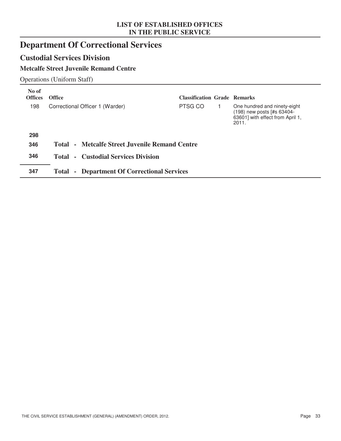# **Department Of Correctional Services**

### **Custodial Services Division**

### **Metcalfe Street Juvenile Remand Centre**

Operations (Uniform Staff)

| No of<br><b>Offices</b> | <b>Office</b>                                                 | <b>Classification Grade Remarks</b> |                                                                                                         |
|-------------------------|---------------------------------------------------------------|-------------------------------------|---------------------------------------------------------------------------------------------------------|
| 198                     | Correctional Officer 1 (Warder)                               | PTSG CO                             | One hundred and ninety-eight<br>(198) new posts [#s 63404-<br>63601] with effect from April 1,<br>2011. |
| 298                     |                                                               |                                     |                                                                                                         |
| 346                     | Total - Metcalfe Street Juvenile Remand Centre                |                                     |                                                                                                         |
| 346                     | - Custodial Services Division<br>Total                        |                                     |                                                                                                         |
| 347                     | <b>Department Of Correctional Services</b><br>Total<br>$\sim$ |                                     |                                                                                                         |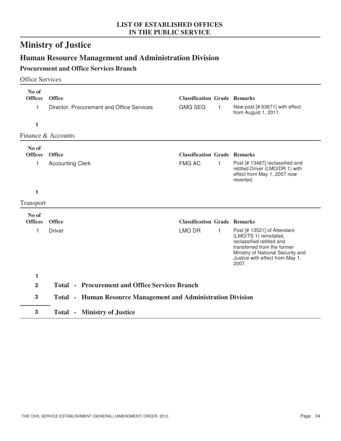# **Ministry of Justice**

# **Human Resource Management and Administration Division**

### **Procurement and Office Services Branch**

#### Office Services

| No of<br><b>Offices</b><br>1<br>1 | <b>Office</b><br>Director, Procurement and Office Services           | <b>Classification Grade Remarks</b><br><b>GMG SEG</b> | 1 | New post [# 63671] with effect<br>from August 1, 2011.                                                                                                                                             |
|-----------------------------------|----------------------------------------------------------------------|-------------------------------------------------------|---|----------------------------------------------------------------------------------------------------------------------------------------------------------------------------------------------------|
|                                   | Finance & Accounts                                                   |                                                       |   |                                                                                                                                                                                                    |
| No of<br><b>Offices</b><br>1      | <b>Office</b><br><b>Accounting Clerk</b>                             | <b>Classification Grade Remarks</b><br><b>FMG AC</b>  | 1 | Post [# 13487] reclassified and<br>retitled Driver (LMO/DR 1) with<br>effect from May 1, 2007 now<br>reverted.                                                                                     |
| 1                                 |                                                                      |                                                       |   |                                                                                                                                                                                                    |
| Transport                         |                                                                      |                                                       |   |                                                                                                                                                                                                    |
| No of<br><b>Offices</b>           | <b>Office</b>                                                        | <b>Classification Grade Remarks</b>                   |   |                                                                                                                                                                                                    |
| 1                                 | <b>Driver</b>                                                        | <b>LMO DR</b>                                         | 1 | Post [# 13521] of Attendant<br>(LMO/TS 1) reinstated,<br>reclassified retitled and<br>transferred from the former<br>Ministry of National Security and<br>Justice with effect from May 1,<br>2007. |
| 1                                 |                                                                      |                                                       |   |                                                                                                                                                                                                    |
| 3                                 | <b>Total - Procurement and Office Services Branch</b>                |                                                       |   |                                                                                                                                                                                                    |
| 3                                 | <b>Total • Human Resource Management and Administration Division</b> |                                                       |   |                                                                                                                                                                                                    |
| 3                                 | <b>Total - Ministry of Justice</b>                                   |                                                       |   |                                                                                                                                                                                                    |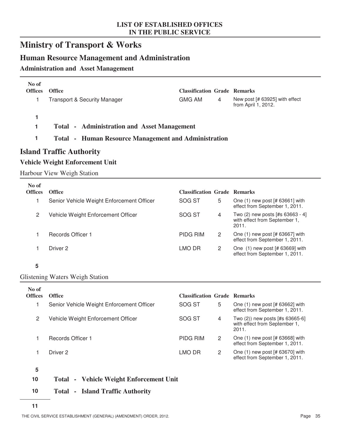## **Ministry of Transport & Works**

### **Human Resource Management and Administration**

#### **Administration and Asset Management**

| No of<br><b>Offices</b> | <b>Office</b>                           | <b>Classification Grade Remarks</b> |   |                                                       |
|-------------------------|-----------------------------------------|-------------------------------------|---|-------------------------------------------------------|
|                         | <b>Transport &amp; Security Manager</b> | <b>GMG AM</b>                       | 4 | New post [# 63925] with effect<br>from April 1, 2012. |
|                         |                                         |                                     |   |                                                       |

**1 Total - Administration and Asset Management**

### **1 Total - Human Resource Management and Administration**

### **Island Traffic Authority**

#### **Vehicle Weight Enforcement Unit**

Harbour View Weigh Station

| No of<br><b>Offices</b> | <b>Office</b>                             | <b>Classification Grade Remarks</b> |   |                                                                            |
|-------------------------|-------------------------------------------|-------------------------------------|---|----------------------------------------------------------------------------|
|                         | Senior Vehicle Weight Enforcement Officer | SOG ST                              | 5 | One $(1)$ new post $[# 63661]$ with<br>effect from September 1, 2011.      |
| 2                       | Vehicle Weight Enforcement Officer        | SOG ST                              | 4 | Two (2) new posts [#s 63663 - 4]<br>with effect from September 1,<br>2011. |
|                         | Records Officer 1                         | PIDG RIM                            | 2 | One $(1)$ new post $[# 63667]$ with<br>effect from September 1, 2011.      |
|                         | Driver 2                                  | LMO DR                              | 2 | One $(1)$ new post $[# 63669]$ with<br>effect from September 1, 2011.      |

#### **5**

#### Glistening Waters Weigh Station

| No of<br><b>Offices</b> | <b>Office</b>                             | <b>Classification Grade Remarks</b> |   |                                                                              |
|-------------------------|-------------------------------------------|-------------------------------------|---|------------------------------------------------------------------------------|
|                         | Senior Vehicle Weight Enforcement Officer | SOG ST                              | 5 | One $(1)$ new post $[# 63662]$ with<br>effect from September 1, 2011.        |
| 2                       | Vehicle Weight Enforcement Officer        | SOG ST                              | 4 | Two $(2)$ ) new posts [#s 63665-6]<br>with effect from September 1,<br>2011. |
|                         | Records Officer 1                         | PIDG RIM                            | 2 | One (1) new post [# 63668] with<br>effect from September 1, 2011.            |
|                         | Driver 2                                  | LMO DR                              | 2 | One (1) new post [# 63670] with<br>effect from September 1, 2011.            |

**5**

- **10 Total Vehicle Weight Enforcement Unit**
- **10 Total Island Traffic Authority**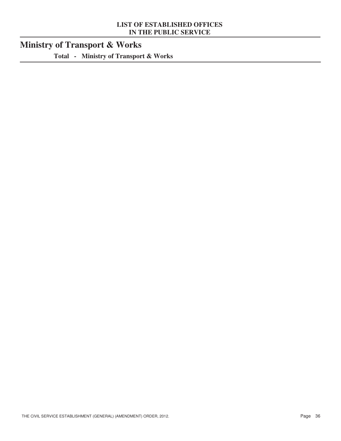# **Ministry of Transport & Works**

**Total - Ministry of Transport & Works**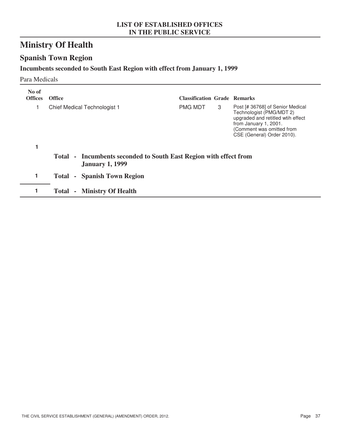# **Ministry Of Health**

# **Spanish Town Region**

### **Incumbents seconded to South East Region with effect from January 1, 1999**

#### Para Medicals

| No of<br><b>Offices</b> | <b>Office</b>                                                                               | <b>Classification Grade Remarks</b> |   |                                                                                                                                                                                       |
|-------------------------|---------------------------------------------------------------------------------------------|-------------------------------------|---|---------------------------------------------------------------------------------------------------------------------------------------------------------------------------------------|
|                         | Chief Medical Technologist 1                                                                | <b>PMG MDT</b>                      | 3 | Post [# 36768] of Senior Medical<br>Technologist (PMG/MDT 2)<br>upgraded and retitled wtih effect<br>from January 1, 2001.<br>(Comment was omitted from<br>CSE (General) Order 2010). |
|                         |                                                                                             |                                     |   |                                                                                                                                                                                       |
|                         | Total - Incumbents seconded to South East Region with effect from<br><b>January 1, 1999</b> |                                     |   |                                                                                                                                                                                       |
| 1                       | <b>Total - Spanish Town Region</b>                                                          |                                     |   |                                                                                                                                                                                       |
|                         | - Ministry Of Health<br><b>Total</b>                                                        |                                     |   |                                                                                                                                                                                       |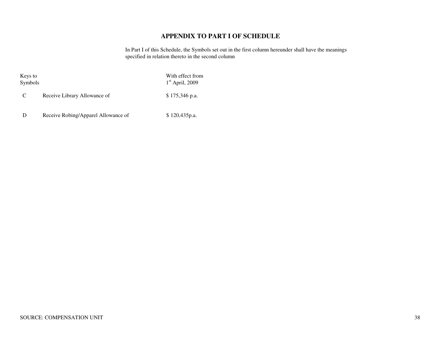### **APPENDIX TO PART I OF SCHEDULE**

In Part I of this Schedule, the Symbols set out in the first column hereunder shall have the meanings specified in relation thereto in the second column

Keys to With effect from Symbols 1<sup>st</sup> April, 2009

 $1<sup>st</sup>$  April, 2009

C Receive Library Allowance of \$ 175,346 p.a.

D Receive Robing/Apparel Allowance of \$120,435p.a.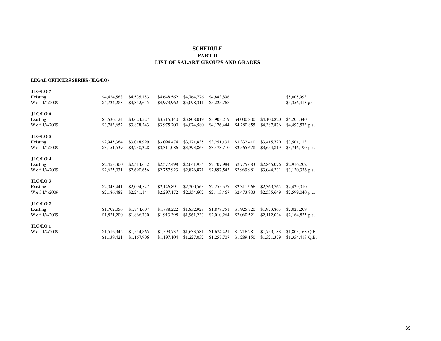#### **SCHEDULE PART IILIST OF SALARY GROUPS AND GRADES**

#### **LEGAL OFFICERS SERIES (JLG/LO)**

| JLG/LO 7.           |             |             |             |             |             |             |             |                   |
|---------------------|-------------|-------------|-------------|-------------|-------------|-------------|-------------|-------------------|
| Existing            | \$4,424,568 | \$4,535,183 | \$4,648,562 | \$4,764,776 | \$4,883,896 |             |             | \$5,005,993       |
| W.e.f 1/4/2009      | \$4,734,288 | \$4,852,645 | \$4,973,962 | \$5,098,311 | \$5,225,768 |             |             | $$5,356,413$ p.a. |
| JLG/LO6             |             |             |             |             |             |             |             |                   |
| Existing            | \$3,536,124 | \$3,624,527 | \$3,715,140 | \$3,808,019 | \$3,903,219 | \$4,000,800 | \$4,100,820 | \$4,203,340       |
| W.e.f 1/4/2009      | \$3,783,652 | \$3,878,243 | \$3,975,200 | \$4,074,580 | \$4,176,444 | \$4,280,855 | \$4,387,876 | \$4,497,573 p.a.  |
| JLG/LO <sub>5</sub> |             |             |             |             |             |             |             |                   |
| Existing            | \$2,945,364 | \$3,018,999 | \$3,094,474 | \$3,171,835 | \$3,251,131 | \$3,332,410 | \$3,415,720 | \$3,501,113       |
| W.e.f 1/4/2009      | \$3,151,539 | \$3,230,328 | \$3,311,086 | \$3,393,863 | \$3,478,710 | \$3,565,678 | \$3,654,819 | \$3,746,190 p.a.  |
| JLG/LO4             |             |             |             |             |             |             |             |                   |
| Existing            | \$2,453,300 | \$2,514,632 | \$2,577,498 | \$2,641,935 | \$2,707,984 | \$2,775,683 | \$2,845,076 | \$2,916,202       |
| W.e.f 1/4/2009      | \$2,625,031 | \$2,690,656 | \$2,757,923 | \$2,826,871 | \$2,897,543 | \$2,969,981 | \$3,044,231 | \$3,120,336 p.a.  |
| JLG/LO <sub>3</sub> |             |             |             |             |             |             |             |                   |
| Existing            | \$2,043,441 | \$2,094,527 | \$2,146,891 | \$2,200,563 | \$2,255,577 | \$2,311,966 | \$2,369,765 | \$2,429,010       |
| W.e.f 1/4/2009      | \$2,186,482 | \$2,241,144 | \$2,297,172 | \$2,354,602 | \$2,413,467 | \$2,473,803 | \$2,535,649 | \$2,599,040 p.a.  |
| JLG/LO <sub>2</sub> |             |             |             |             |             |             |             |                   |
| Existing            | \$1,702,056 | \$1,744,607 | \$1,788,222 | \$1,832,928 | \$1,878,751 | \$1,925,720 | \$1,973,863 | \$2,023,209       |
| W.e.f 1/4/2009      | \$1,821,200 | \$1,866,730 | \$1,913,398 | \$1,961,233 | \$2,010,264 | \$2,060,521 | \$2,112,034 | $$2,164,835$ p.a. |
| JLG/LO <sub>1</sub> |             |             |             |             |             |             |             |                   |
| W.e.f 1/4/2009      | \$1,516,942 | \$1,554,865 | \$1,593,737 | \$1,633,581 | \$1,674,421 | \$1,716,281 | \$1,759,188 | \$1,803,168 Q.B.  |
|                     | \$1,139,421 | \$1,167,906 | \$1,197,104 | \$1,227,032 | \$1,257,707 | \$1,289,150 | \$1,321,379 | \$1,354,413 Q.B.  |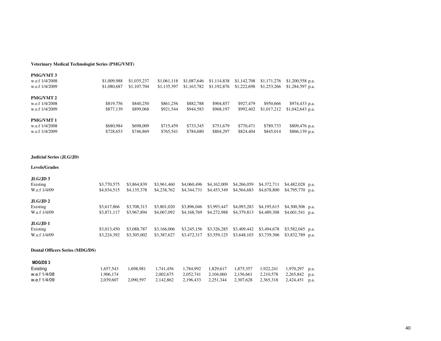#### **Veterinary Medical Technologist Series (PMG/VMT)**

| <b>PMG/VMT3</b>  |             |             |             |             |             |             |             |                   |
|------------------|-------------|-------------|-------------|-------------|-------------|-------------|-------------|-------------------|
| w.e.f 1/4/2008   | \$1,009,988 | \$1,035,237 | \$1,061,118 | \$1,087,646 | \$1,114,838 | \$1,142,708 | \$1,171,276 | $$1,200,558$ p.a. |
| w.e.f 1/4/2009   | \$1,080,687 | \$1,107,704 | \$1,135,397 | \$1,163,782 | \$1,192,876 | \$1,222,698 | \$1,253,266 | $$1,284,597$ p.a. |
| <b>PMG/VMT 2</b> |             |             |             |             |             |             |             |                   |
| w.e.f 1/4/2008   | \$819,756   | \$840,250   | \$861.256   | \$882,788   | \$904,857   | \$927,479   | \$950,666   | \$974,433 p.a.    |
| w.e.f 1/4/2009   | \$877,139   | \$899,068   | \$921,544   | \$944.583   | \$968,197   | \$992,402   | \$1,017,212 | $$1,042,643$ p.a. |
| <b>PMG/VMT 1</b> |             |             |             |             |             |             |             |                   |
| w.e.f 1/4/2008   | \$680,984   | \$698,009   | \$715.459   | \$733.345   | \$751,679   | \$770,471   | \$789,733   | \$809,476 p.a.    |
| w.e.f 1/4/2009   | \$728,653   | \$746.869   | \$765,541   | \$784,680   | \$804,297   | \$824,404   | \$845,014   | \$866,139 p.a.    |

#### **Judicial Series (JLG/JD)**

#### **Levels/Grades**

| JLG/JD3<br>Existing<br>W.e.f 1/4/09  | \$3,770,575<br>\$4,034,515 | \$3,864,839<br>\$4,135,378 | \$3,961,460<br>\$4,238,762 | \$4,060,496<br>\$4,344,731 | \$4,162,009<br>\$4,453,349 | \$4,266,059<br>\$4,564,683 | \$4,372,711<br>\$4,678,800 | $$4,482,028$ p.a.<br>$$4,795,770$ p.a.   |
|--------------------------------------|----------------------------|----------------------------|----------------------------|----------------------------|----------------------------|----------------------------|----------------------------|------------------------------------------|
| JLG/JD 2<br>Existing<br>W.e.f 1/4/09 | \$3,617,866<br>\$3,871,117 | \$3,708,313<br>\$3,967,894 | \$3,801,020<br>\$4,067,092 | \$3,896,046<br>\$4,168,769 | \$3,993,447<br>\$4,272,988 | \$4,093,283<br>\$4,379,813 | \$4,195,615<br>\$4,489,308 | $$4,300,506$ p.a.<br>$$4,601,541$ p.a.   |
| JLG/JD1<br>Existing<br>W.e.f 1/4/09  | \$3,013,450<br>\$3,224,392 | \$3,088,787<br>\$3,305,002 | \$3,166,006<br>\$3,387,627 | \$3,245,156<br>\$3,472,317 | \$3,326,285<br>\$3,559,125 | \$3,409,442<br>\$3,648,103 | \$3,494,678<br>\$3,739,306 | $$3,582,045$ p.a.<br>\$3,832,789<br>p.a. |

#### **Dental Officers Series (MDG/DS)**

| <b>MDG/DS3</b> |           |           |           |                     |           |           |                                    |  |
|----------------|-----------|-----------|-----------|---------------------|-----------|-----------|------------------------------------|--|
| Existing       | 1.657.543 | 1.698.981 | 1.741.456 |                     |           | 1.922.241 | 1,970,297 p.a.                     |  |
| w.e.f 1/4/08   | .906.174  |           | 2.002.675 | 2.052.741           | 2.104.060 |           | 2,156,661 2,210,578 2,265,842 p.a. |  |
| w.e.f 1/4/09   | 2.039.607 | 2.090.597 | 2.142.862 | 2,196,433 2,251,344 |           |           | 2,307,628 2,365,318 2,424,451 p.a. |  |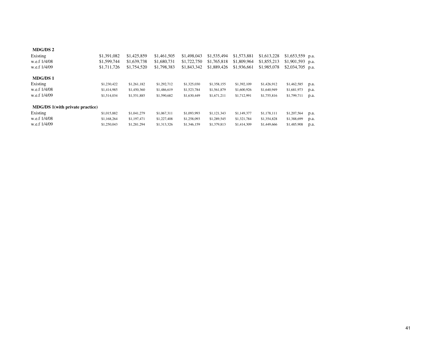| MDG/DS 2                        |             |             |             |             |             |             |             |             |      |
|---------------------------------|-------------|-------------|-------------|-------------|-------------|-------------|-------------|-------------|------|
| Existing                        | \$1,391,082 | \$1,425,859 | \$1,461,505 | \$1,498,043 | \$1,535,494 | \$1,573,881 | \$1,613,228 | \$1,653,559 | p.a. |
| w.e.f 1/4/08                    | \$1,599,744 | \$1,639,738 | \$1,680,731 | \$1,722,750 | \$1,765,818 | \$1,809,964 | \$1,855,213 | \$1,901,593 | p.a. |
| w.e.f 1/4/09                    | \$1,711,726 | \$1,754,520 | \$1,798,383 | \$1,843,342 | \$1,889,426 | \$1,936,661 | \$1,985,078 | \$2,034,705 | p.a. |
| <b>MDG/DS1</b>                  |             |             |             |             |             |             |             |             |      |
| Existing                        | \$1,230,422 | \$1,261,182 | \$1,292,712 | \$1,325,030 | \$1,358,155 | \$1,392,109 | \$1,426,912 | \$1,462,585 | p.a. |
| w.e.f 1/4/08                    | \$1,414,985 | \$1,450,360 | \$1,486,619 | \$1,523,784 | \$1,561,879 | \$1,600,926 | \$1,640,949 | \$1,681,973 | p.a. |
| w.e.f 1/4/09                    | \$1,514,034 | \$1,551,885 | \$1,590,682 | \$1,630,449 | \$1,671,211 | \$1,712,991 | \$1,755,816 | \$1,799,711 | p.a. |
| MDG/DS 1(with private practice) |             |             |             |             |             |             |             |             |      |
| Existing                        | \$1,015,882 | \$1,041,279 | \$1,067,311 | \$1,093,993 | \$1,121,343 | \$1,149,377 | \$1,178,111 | \$1,207,564 | p.a. |
| w.e.f 1/4/08                    | \$1,168,264 | \$1,197,471 | \$1,227,408 | \$1,258,093 | \$1,289,545 | \$1,321,784 | \$1,354,828 | \$1,388,699 | p.a. |
| w.e.f 1/4/09                    | \$1,250,043 | \$1,281,294 | \$1,313,326 | \$1,346,159 | \$1,379,813 | \$1,414,309 | \$1,449,666 | \$1,485,908 | p.a. |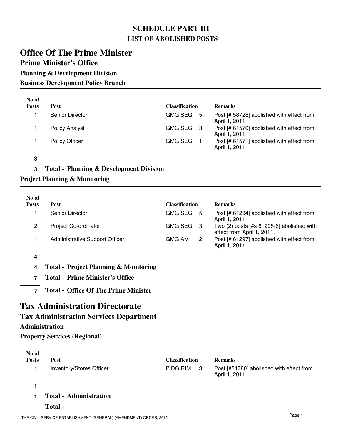### **SCHEDULE PART III LIST OF ABOLISHED POSTS**

### **Office Of The Prime Minister**

### **Prime Minister's Office**

**Planning & Development Division**

**Business Development Policy Branch**

| No of        |                       |                       |                                                             |
|--------------|-----------------------|-----------------------|-------------------------------------------------------------|
| <b>Posts</b> | Post                  | <b>Classification</b> | <b>Remarks</b>                                              |
|              | Senior Director       | GMG SEG 5             | Post [# 58728] abolished with effect from<br>April 1, 2011. |
|              | <b>Policy Analyst</b> | GMG SEG 3             | Post [# 61570] abolished with effect from<br>April 1, 2011. |
|              | <b>Policy Officer</b> | <b>GMG SEG</b>        | Post [# 61571] abolished with effect from<br>April 1, 2011. |

**3**

### **3 Total - Planning & Development Division**

### **Project Planning & Monitoring**

| No of<br><b>Posts</b> | <b>Post</b>                                      | <b>Classification</b> |                      | <b>Remarks</b>                                                            |
|-----------------------|--------------------------------------------------|-----------------------|----------------------|---------------------------------------------------------------------------|
|                       | Senior Director                                  | <b>GMG SEG</b>        | 5                    | Post [# 61294] abolished with effect from<br>April 1, 2011.               |
| 2                     | Project Co-ordinator                             | <b>GMG SEG</b>        | -3                   | Two $(2)$ posts [#s 61295-6] abolished with<br>effect from April 1, 2011. |
|                       | Administrative Support Officer                   | GMG AM                | $\mathbf{2}^{\circ}$ | Post [# 61297] abolished with effect from<br>April 1, 2011.               |
| 4                     |                                                  |                       |                      |                                                                           |
| 4                     | <b>Total - Project Planning &amp; Monitoring</b> |                       |                      |                                                                           |
|                       | <b>Total - Prime Minister's Office</b>           |                       |                      |                                                                           |

**7 Total - Office Of The Prime Minister**

## **Tax Administration Directorate**

### **Tax Administration Services Department**

### **Administration**

**Property Services (Regional)**

| No of        |                               |                       |                                                            |
|--------------|-------------------------------|-----------------------|------------------------------------------------------------|
| <b>Posts</b> | Post                          | <b>Classification</b> | <b>Remarks</b>                                             |
|              | Inventory/Stores Officer      | PIDG RIM<br>- 3       | Post [#54780] abolished with effect from<br>April 1, 2011. |
|              |                               |                       |                                                            |
|              | <b>Total - Administration</b> |                       |                                                            |
|              | Total -                       |                       |                                                            |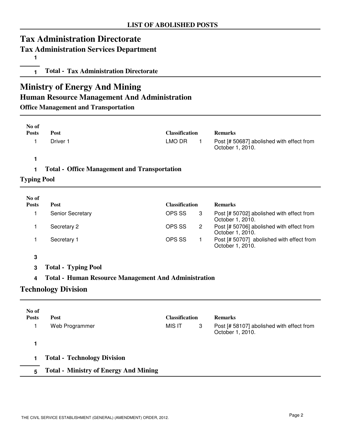## **Tax Administration Directorate**

### **Tax Administration Services Department**

**1**

**1 Total - Tax Administration Directorate**

# **Ministry of Energy And Mining**

### **Human Resource Management And Administration**

**Office Management and Transportation**

| No of<br><b>Posts</b> | Post                                                        | <b>Classification</b> |                | <b>Remarks</b>                                                |
|-----------------------|-------------------------------------------------------------|-----------------------|----------------|---------------------------------------------------------------|
| 1                     | Driver 1                                                    | <b>LMO DR</b>         | $\mathbf{1}$   | Post [# 50687] abolished with effect from<br>October 1, 2010. |
| 1                     |                                                             |                       |                |                                                               |
| 1                     | <b>Total - Office Management and Transportation</b>         |                       |                |                                                               |
| <b>Typing Pool</b>    |                                                             |                       |                |                                                               |
| No of                 |                                                             |                       |                |                                                               |
| <b>Posts</b>          | Post                                                        | <b>Classification</b> |                | <b>Remarks</b>                                                |
| 1                     | Senior Secretary                                            | OPS SS                | 3              | Post [# 50702] abolished with effect from<br>October 1, 2010. |
| 1                     | Secretary 2                                                 | OPS SS                | $\overline{c}$ | Post [# 50706] abolished with effect from<br>October 1, 2010. |
| 1                     | Secretary 1                                                 | OPS SS                | 1              | Post [# 50707] abolished with effect from<br>October 1, 2010. |
| 3                     |                                                             |                       |                |                                                               |
| 3                     | <b>Total - Typing Pool</b>                                  |                       |                |                                                               |
| 4                     | <b>Total - Human Resource Management And Administration</b> |                       |                |                                                               |
|                       | <b>Technology Division</b>                                  |                       |                |                                                               |
| No of                 |                                                             |                       |                |                                                               |
| <b>Posts</b>          | Post                                                        | <b>Classification</b> |                | <b>Remarks</b>                                                |
| 1                     | Web Programmer                                              | <b>MIS IT</b>         | 3              | Post [# 58107] abolished with effect from<br>October 1, 2010. |
| 1                     |                                                             |                       |                |                                                               |
| 1                     | <b>Total - Technology Division</b>                          |                       |                |                                                               |

**5 Total - Ministry of Energy And Mining**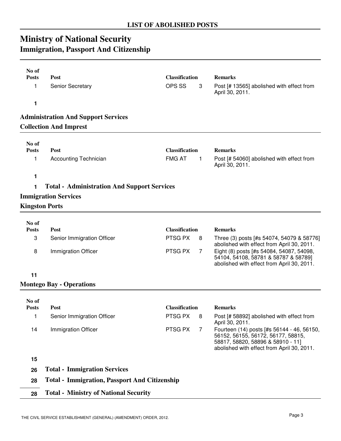# **Ministry of National Security Immigration, Passport And Citizenship**

| No of<br><b>Posts</b> | Post                                                 | <b>Classification</b> | <b>Remarks</b>                                                                                                                 |
|-----------------------|------------------------------------------------------|-----------------------|--------------------------------------------------------------------------------------------------------------------------------|
| 1                     | <b>Senior Secretary</b>                              | OPS SS<br>3           | Post [# 13565] abolished with effect from<br>April 30, 2011.                                                                   |
| 1                     |                                                      |                       |                                                                                                                                |
|                       | <b>Administration And Support Services</b>           |                       |                                                                                                                                |
|                       | <b>Collection And Imprest</b>                        |                       |                                                                                                                                |
| No of                 |                                                      |                       |                                                                                                                                |
| <b>Posts</b>          | Post                                                 | <b>Classification</b> | <b>Remarks</b>                                                                                                                 |
| 1                     | <b>Accounting Technician</b>                         | <b>FMG AT</b><br>1    | Post [# 54060] abolished with effect from<br>April 30, 2011.                                                                   |
| 1                     |                                                      |                       |                                                                                                                                |
| 1                     | <b>Total - Administration And Support Services</b>   |                       |                                                                                                                                |
|                       | <b>Immigration Services</b>                          |                       |                                                                                                                                |
|                       | <b>Kingston Ports</b>                                |                       |                                                                                                                                |
| No of                 |                                                      |                       |                                                                                                                                |
| <b>Posts</b>          | Post                                                 | <b>Classification</b> | <b>Remarks</b>                                                                                                                 |
| 3                     | Senior Immigration Officer                           | PTSG PX<br>8          | Three (3) posts [#s 54074, 54079 & 58776]                                                                                      |
| 8                     | <b>Immigration Officer</b>                           | PTSG PX<br>7          | abolished with effect from April 30, 2011.<br>Eight (8) posts [#s 54084, 54087, 54098,<br>54104, 54108, 58781 & 58787 & 58789] |
|                       |                                                      |                       | abolished with effect from April 30, 2011.                                                                                     |
| 11                    |                                                      |                       |                                                                                                                                |
|                       | <b>Montego Bay - Operations</b>                      |                       |                                                                                                                                |
| No of                 |                                                      |                       |                                                                                                                                |
| <b>Posts</b>          | Post                                                 | <b>Classification</b> | <b>Remarks</b>                                                                                                                 |
| 1                     | Senior Immigration Officer                           | PTSG PX<br>8          | Post [# 58892] abolished with effect from<br>April 30, 2011.                                                                   |
| 14                    | Immigration Officer                                  | PTSG PX<br>7          | Fourteen (14) posts [#s 56144 - 46, 56150,<br>56152, 56155, 56172, 56177, 58815,                                               |
|                       |                                                      |                       | 58817, 58820, 58896 & 58910 - 11]<br>abolished with effect from April 30, 2011.                                                |
| 15                    |                                                      |                       |                                                                                                                                |
| 26                    | <b>Total - Immigration Services</b>                  |                       |                                                                                                                                |
| 28                    | <b>Total - Immigration, Passport And Citizenship</b> |                       |                                                                                                                                |
| 28                    | <b>Total - Ministry of National Security</b>         |                       |                                                                                                                                |